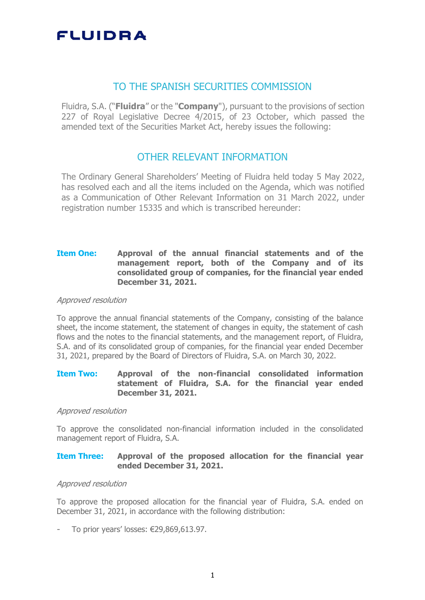## TO THE SPANISH SECURITIES COMMISSION

Fluidra, S.A. ("**Fluidra**" or the "**Company**"), pursuant to the provisions of section 227 of Royal Legislative Decree 4/2015, of 23 October, which passed the amended text of the Securities Market Act, hereby issues the following:

## OTHER RELEVANT INFORMATION

The Ordinary General Shareholders' Meeting of Fluidra held today 5 May 2022, has resolved each and all the items included on the Agenda, which was notified as a Communication of Other Relevant Information on 31 March 2022, under registration number 15335 and which is transcribed hereunder:

## **Item One: Approval of the annual financial statements and of the management report, both of the Company and of its consolidated group of companies, for the financial year ended December 31, 2021.**

#### Approved resolution

To approve the annual financial statements of the Company, consisting of the balance sheet, the income statement, the statement of changes in equity, the statement of cash flows and the notes to the financial statements, and the management report, of Fluidra, S.A. and of its consolidated group of companies, for the financial year ended December 31, 2021, prepared by the Board of Directors of Fluidra, S.A. on March 30, 2022.

### **Item Two: Approval of the non-financial consolidated information statement of Fluidra, S.A. for the financial year ended December 31, 2021.**

#### Approved resolution

To approve the consolidated non-financial information included in the consolidated management report of Fluidra, S.A.

### **Item Three: Approval of the proposed allocation for the financial year ended December 31, 2021.**

#### Approved resolution

To approve the proposed allocation for the financial year of Fluidra, S.A. ended on December 31, 2021, in accordance with the following distribution:

To prior years' losses: €29,869,613.97.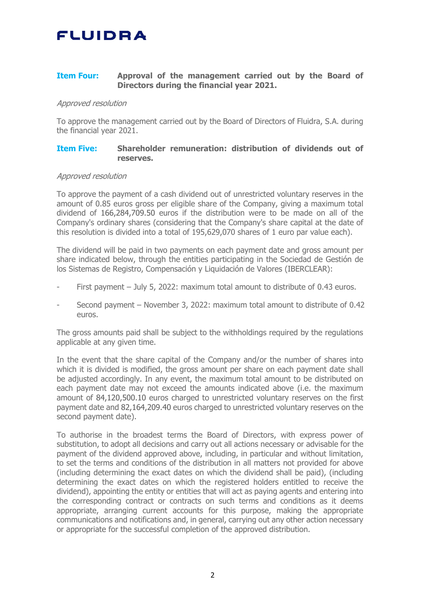## **Item Four: Approval of the management carried out by the Board of Directors during the financial year 2021.**

#### Approved resolution

To approve the management carried out by the Board of Directors of Fluidra, S.A. during the financial year 2021.

#### **Item Five: Shareholder remuneration: distribution of dividends out of reserves.**

### Approved resolution

To approve the payment of a cash dividend out of unrestricted voluntary reserves in the amount of 0.85 euros gross per eligible share of the Company, giving a maximum total dividend of 166,284,709.50 euros if the distribution were to be made on all of the Company's ordinary shares (considering that the Company's share capital at the date of this resolution is divided into a total of 195,629,070 shares of 1 euro par value each).

The dividend will be paid in two payments on each payment date and gross amount per share indicated below, through the entities participating in the Sociedad de Gestión de los Sistemas de Registro, Compensación y Liquidación de Valores (IBERCLEAR):

- First payment July 5, 2022: maximum total amount to distribute of 0.43 euros.
- Second payment November 3, 2022: maximum total amount to distribute of 0.42 euros.

The gross amounts paid shall be subject to the withholdings required by the regulations applicable at any given time.

In the event that the share capital of the Company and/or the number of shares into which it is divided is modified, the gross amount per share on each payment date shall be adjusted accordingly. In any event, the maximum total amount to be distributed on each payment date may not exceed the amounts indicated above (i.e. the maximum amount of 84,120,500.10 euros charged to unrestricted voluntary reserves on the first payment date and 82,164,209.40 euros charged to unrestricted voluntary reserves on the second payment date).

To authorise in the broadest terms the Board of Directors, with express power of substitution, to adopt all decisions and carry out all actions necessary or advisable for the payment of the dividend approved above, including, in particular and without limitation, to set the terms and conditions of the distribution in all matters not provided for above (including determining the exact dates on which the dividend shall be paid), (including determining the exact dates on which the registered holders entitled to receive the dividend), appointing the entity or entities that will act as paying agents and entering into the corresponding contract or contracts on such terms and conditions as it deems appropriate, arranging current accounts for this purpose, making the appropriate communications and notifications and, in general, carrying out any other action necessary or appropriate for the successful completion of the approved distribution.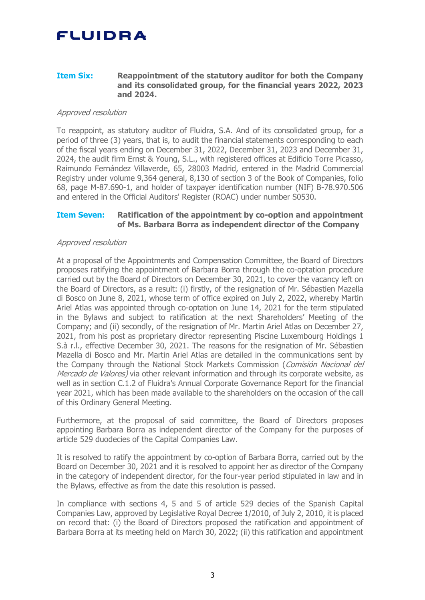#### **Item Six: Reappointment of the statutory auditor for both the Company and its consolidated group, for the financial years 2022, 2023 and 2024.**

### Approved resolution

To reappoint, as statutory auditor of Fluidra, S.A. And of its consolidated group, for a period of three (3) years, that is, to audit the financial statements corresponding to each of the fiscal years ending on December 31, 2022, December 31, 2023 and December 31, 2024, the audit firm Ernst & Young, S.L., with registered offices at Edificio Torre Picasso, Raimundo Fernández Villaverde, 65, 28003 Madrid, entered in the Madrid Commercial Registry under volume 9,364 general, 8,130 of section 3 of the Book of Companies, folio 68, page M-87.690-1, and holder of taxpayer identification number (NIF) B-78.970.506 and entered in the Official Auditors' Register (ROAC) under number S0530.

### **Item Seven: Ratification of the appointment by co-option and appointment of Ms. Barbara Borra as independent director of the Company**

#### Approved resolution

At a proposal of the Appointments and Compensation Committee, the Board of Directors proposes ratifying the appointment of Barbara Borra through the co-optation procedure carried out by the Board of Directors on December 30, 2021, to cover the vacancy left on the Board of Directors, as a result: (i) firstly, of the resignation of Mr. Sébastien Mazella di Bosco on June 8, 2021, whose term of office expired on July 2, 2022, whereby Martin Ariel Atlas was appointed through co-optation on June 14, 2021 for the term stipulated in the Bylaws and subject to ratification at the next Shareholders' Meeting of the Company; and (ii) secondly, of the resignation of Mr. Martin Ariel Atlas on December 27, 2021, from his post as proprietary director representing Piscine Luxembourg Holdings 1 S.à r.l., effective December 30, 2021. The reasons for the resignation of Mr. Sébastien Mazella di Bosco and Mr. Martin Ariel Atlas are detailed in the communications sent by the Company through the National Stock Markets Commission (Comisión Nacional del Mercado de Valores) via other relevant information and through its corporate website, as well as in section C.1.2 of Fluidra's Annual Corporate Governance Report for the financial year 2021, which has been made available to the shareholders on the occasion of the call of this Ordinary General Meeting.

Furthermore, at the proposal of said committee, the Board of Directors proposes appointing Barbara Borra as independent director of the Company for the purposes of article 529 duodecies of the Capital Companies Law.

It is resolved to ratify the appointment by co-option of Barbara Borra, carried out by the Board on December 30, 2021 and it is resolved to appoint her as director of the Company in the category of independent director, for the four-year period stipulated in law and in the Bylaws, effective as from the date this resolution is passed.

In compliance with sections 4, 5 and 5 of article 529 decies of the Spanish Capital Companies Law, approved by Legislative Royal Decree 1/2010, of July 2, 2010, it is placed on record that: (i) the Board of Directors proposed the ratification and appointment of Barbara Borra at its meeting held on March 30, 2022; (ii) this ratification and appointment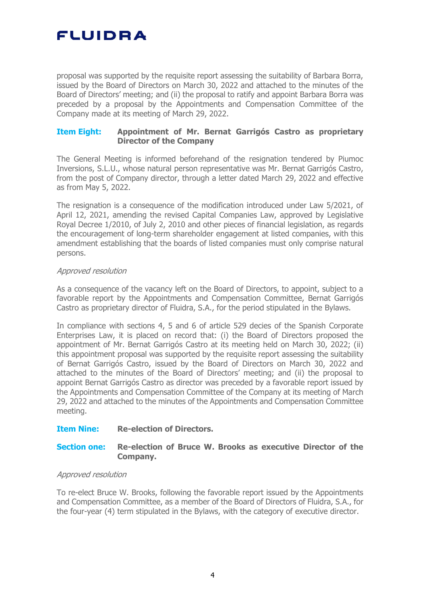proposal was supported by the requisite report assessing the suitability of Barbara Borra, issued by the Board of Directors on March 30, 2022 and attached to the minutes of the Board of Directors' meeting; and (ii) the proposal to ratify and appoint Barbara Borra was preceded by a proposal by the Appointments and Compensation Committee of the Company made at its meeting of March 29, 2022.

## **Item Eight: Appointment of Mr. Bernat Garrigós Castro as proprietary Director of the Company**

The General Meeting is informed beforehand of the resignation tendered by Piumoc Inversions, S.L.U., whose natural person representative was Mr. Bernat Garrigós Castro, from the post of Company director, through a letter dated March 29, 2022 and effective as from May 5, 2022.

The resignation is a consequence of the modification introduced under Law 5/2021, of April 12, 2021, amending the revised Capital Companies Law, approved by Legislative Royal Decree 1/2010, of July 2, 2010 and other pieces of financial legislation, as regards the encouragement of long-term shareholder engagement at listed companies, with this amendment establishing that the boards of listed companies must only comprise natural persons.

### Approved resolution

As a consequence of the vacancy left on the Board of Directors, to appoint, subject to a favorable report by the Appointments and Compensation Committee, Bernat Garrigós Castro as proprietary director of Fluidra, S.A., for the period stipulated in the Bylaws.

In compliance with sections 4, 5 and 6 of article 529 decies of the Spanish Corporate Enterprises Law, it is placed on record that: (i) the Board of Directors proposed the appointment of Mr. Bernat Garrigós Castro at its meeting held on March 30, 2022; (ii) this appointment proposal was supported by the requisite report assessing the suitability of Bernat Garrigós Castro, issued by the Board of Directors on March 30, 2022 and attached to the minutes of the Board of Directors' meeting; and (ii) the proposal to appoint Bernat Garrigós Castro as director was preceded by a favorable report issued by the Appointments and Compensation Committee of the Company at its meeting of March 29, 2022 and attached to the minutes of the Appointments and Compensation Committee meeting.

## **Item Nine: Re-election of Directors.**

## **Section one: Re-election of Bruce W. Brooks as executive Director of the Company.**

### Approved resolution

To re-elect Bruce W. Brooks, following the favorable report issued by the Appointments and Compensation Committee, as a member of the Board of Directors of Fluidra, S.A., for the four-year (4) term stipulated in the Bylaws, with the category of executive director.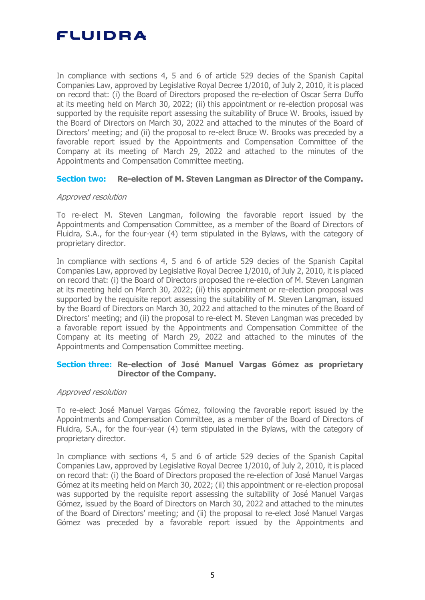In compliance with sections 4, 5 and 6 of article 529 decies of the Spanish Capital Companies Law, approved by Legislative Royal Decree 1/2010, of July 2, 2010, it is placed on record that: (i) the Board of Directors proposed the re-election of Oscar Serra Duffo at its meeting held on March 30, 2022; (ii) this appointment or re-election proposal was supported by the requisite report assessing the suitability of Bruce W. Brooks, issued by the Board of Directors on March 30, 2022 and attached to the minutes of the Board of Directors' meeting; and (ii) the proposal to re-elect Bruce W. Brooks was preceded by a favorable report issued by the Appointments and Compensation Committee of the Company at its meeting of March 29, 2022 and attached to the minutes of the Appointments and Compensation Committee meeting.

### **Section two: Re-election of M. Steven Langman as Director of the Company.**

## Approved resolution

To re-elect M. Steven Langman, following the favorable report issued by the Appointments and Compensation Committee, as a member of the Board of Directors of Fluidra, S.A., for the four-year (4) term stipulated in the Bylaws, with the category of proprietary director.

In compliance with sections 4, 5 and 6 of article 529 decies of the Spanish Capital Companies Law, approved by Legislative Royal Decree 1/2010, of July 2, 2010, it is placed on record that: (i) the Board of Directors proposed the re-election of M. Steven Langman at its meeting held on March 30, 2022; (ii) this appointment or re-election proposal was supported by the requisite report assessing the suitability of M. Steven Langman, issued by the Board of Directors on March 30, 2022 and attached to the minutes of the Board of Directors' meeting; and (ii) the proposal to re-elect M. Steven Langman was preceded by a favorable report issued by the Appointments and Compensation Committee of the Company at its meeting of March 29, 2022 and attached to the minutes of the Appointments and Compensation Committee meeting.

## **Section three: Re-election of José Manuel Vargas Gómez as proprietary Director of the Company.**

## Approved resolution

To re-elect José Manuel Vargas Gómez, following the favorable report issued by the Appointments and Compensation Committee, as a member of the Board of Directors of Fluidra, S.A., for the four-year (4) term stipulated in the Bylaws, with the category of proprietary director.

In compliance with sections 4, 5 and 6 of article 529 decies of the Spanish Capital Companies Law, approved by Legislative Royal Decree 1/2010, of July 2, 2010, it is placed on record that: (i) the Board of Directors proposed the re-election of José Manuel Vargas Gómez at its meeting held on March 30, 2022; (ii) this appointment or re-election proposal was supported by the requisite report assessing the suitability of José Manuel Vargas Gómez, issued by the Board of Directors on March 30, 2022 and attached to the minutes of the Board of Directors' meeting; and (ii) the proposal to re-elect José Manuel Vargas Gómez was preceded by a favorable report issued by the Appointments and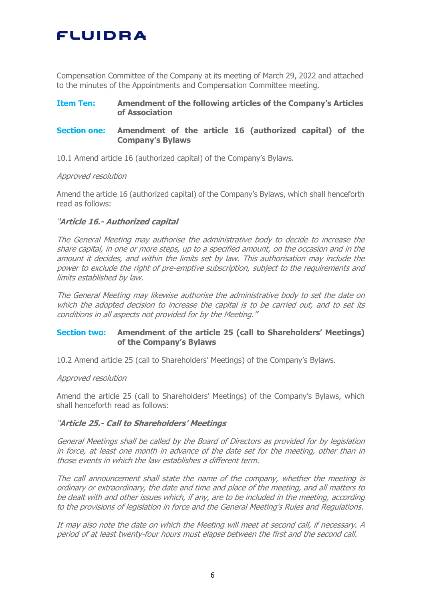Compensation Committee of the Company at its meeting of March 29, 2022 and attached to the minutes of the Appointments and Compensation Committee meeting.

## **Item Ten: Amendment of the following articles of the Company's Articles of Association**

## **Section one: Amendment of the article 16 (authorized capital) of the Company's Bylaws**

10.1 Amend article 16 (authorized capital) of the Company's Bylaws.

### Approved resolution

Amend the article 16 (authorized capital) of the Company's Bylaws, which shall henceforth read as follows:

## "**Article 16.- Authorized capital**

The General Meeting may authorise the administrative body to decide to increase the share capital, in one or more steps, up to a specified amount, on the occasion and in the amount it decides, and within the limits set by law. This authorisation may include the power to exclude the right of pre-emptive subscription, subject to the requirements and limits established by law.

The General Meeting may likewise authorise the administrative body to set the date on which the adopted decision to increase the capital is to be carried out, and to set its conditions in all aspects not provided for by the Meeting."

## **Section two: Amendment of the article 25 (call to Shareholders' Meetings) of the Company's Bylaws**

10.2 Amend article 25 (call to Shareholders' Meetings) of the Company's Bylaws.

### Approved resolution

Amend the article 25 (call to Shareholders' Meetings) of the Company's Bylaws, which shall henceforth read as follows:

### "**Article 25.- Call to Shareholders' Meetings**

General Meetings shall be called by the Board of Directors as provided for by legislation in force, at least one month in advance of the date set for the meeting, other than in those events in which the law establishes a different term.

The call announcement shall state the name of the company, whether the meeting is ordinary or extraordinary, the date and time and place of the meeting, and all matters to be dealt with and other issues which, if any, are to be included in the meeting, according to the provisions of legislation in force and the General Meeting's Rules and Regulations.

It may also note the date on which the Meeting will meet at second call, if necessary. A period of at least twenty-four hours must elapse between the first and the second call.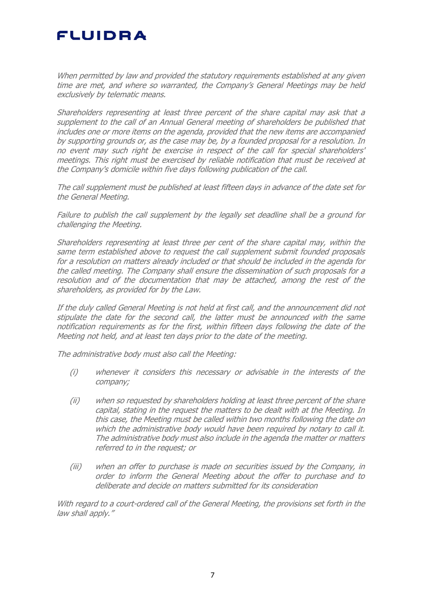When permitted by law and provided the statutory requirements established at any given time are met, and where so warranted, the Company's General Meetings may be held exclusively by telematic means.

Shareholders representing at least three percent of the share capital may ask that a supplement to the call of an Annual General meeting of shareholders be published that includes one or more items on the agenda, provided that the new items are accompanied by supporting grounds or, as the case may be, by a founded proposal for a resolution. In no event may such right be exercise in respect of the call for special shareholders' meetings. This right must be exercised by reliable notification that must be received at the Company's domicile within five days following publication of the call.

The call supplement must be published at least fifteen days in advance of the date set for the General Meeting.

Failure to publish the call supplement by the legally set deadline shall be a ground for challenging the Meeting.

Shareholders representing at least three per cent of the share capital may, within the same term established above to request the call supplement submit founded proposals for a resolution on matters already included or that should be included in the agenda for the called meeting. The Company shall ensure the dissemination of such proposals for a resolution and of the documentation that may be attached, among the rest of the shareholders, as provided for by the Law.

If the duly called General Meeting is not held at first call, and the announcement did not stipulate the date for the second call, the latter must be announced with the same notification requirements as for the first, within fifteen days following the date of the Meeting not held, and at least ten days prior to the date of the meeting.

The administrative body must also call the Meeting:

- (i) whenever it considers this necessary or advisable in the interests of the company;
- (ii) when so requested by shareholders holding at least three percent of the share capital, stating in the request the matters to be dealt with at the Meeting. In this case, the Meeting must be called within two months following the date on which the administrative body would have been required by notary to call it. The administrative body must also include in the agenda the matter or matters referred to in the request; or
- (iii) when an offer to purchase is made on securities issued by the Company, in order to inform the General Meeting about the offer to purchase and to deliberate and decide on matters submitted for its consideration

With regard to a court-ordered call of the General Meeting, the provisions set forth in the law shall apply."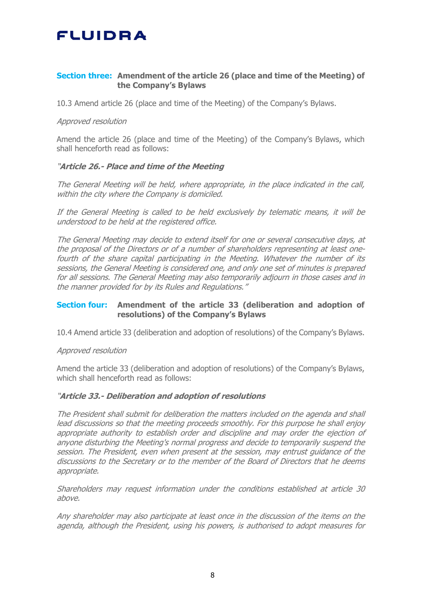## **Section three: Amendment of the article 26 (place and time of the Meeting) of the Company's Bylaws**

10.3 Amend article 26 (place and time of the Meeting) of the Company's Bylaws.

### Approved resolution

Amend the article 26 (place and time of the Meeting) of the Company's Bylaws, which shall henceforth read as follows:

## "**Article 26.- Place and time of the Meeting**

The General Meeting will be held, where appropriate, in the place indicated in the call, within the city where the Company is domiciled.

If the General Meeting is called to be held exclusively by telematic means, it will be understood to be held at the registered office.

The General Meeting may decide to extend itself for one or several consecutive days, at the proposal of the Directors or of a number of shareholders representing at least onefourth of the share capital participating in the Meeting. Whatever the number of its sessions, the General Meeting is considered one, and only one set of minutes is prepared for all sessions. The General Meeting may also temporarily adjourn in those cases and in the manner provided for by its Rules and Regulations."

## **Section four: Amendment of the article 33 (deliberation and adoption of resolutions) of the Company's Bylaws**

10.4 Amend article 33 (deliberation and adoption of resolutions) of the Company's Bylaws.

### Approved resolution

Amend the article 33 (deliberation and adoption of resolutions) of the Company's Bylaws, which shall henceforth read as follows:

### "**Article 33.- Deliberation and adoption of resolutions**

The President shall submit for deliberation the matters included on the agenda and shall lead discussions so that the meeting proceeds smoothly. For this purpose he shall enjoy appropriate authority to establish order and discipline and may order the ejection of anyone disturbing the Meeting's normal progress and decide to temporarily suspend the session. The President, even when present at the session, may entrust guidance of the discussions to the Secretary or to the member of the Board of Directors that he deems appropriate.

Shareholders may request information under the conditions established at article 30 above.

Any shareholder may also participate at least once in the discussion of the items on the agenda, although the President, using his powers, is authorised to adopt measures for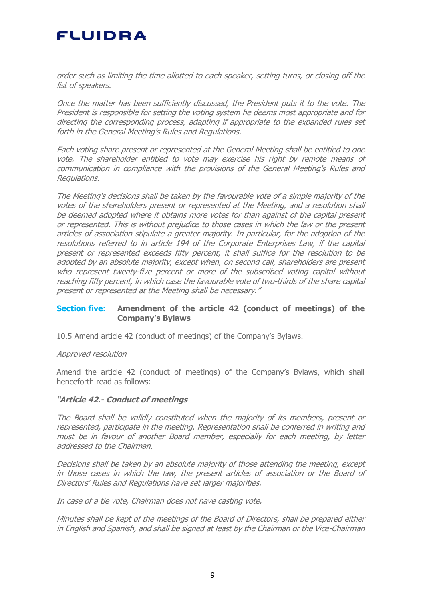order such as limiting the time allotted to each speaker, setting turns, or closing off the list of speakers.

Once the matter has been sufficiently discussed, the President puts it to the vote. The President is responsible for setting the voting system he deems most appropriate and for directing the corresponding process, adapting if appropriate to the expanded rules set forth in the General Meeting's Rules and Regulations.

Each voting share present or represented at the General Meeting shall be entitled to one vote. The shareholder entitled to vote may exercise his right by remote means of communication in compliance with the provisions of the General Meeting's Rules and Regulations.

The Meeting's decisions shall be taken by the favourable vote of a simple majority of the votes of the shareholders present or represented at the Meeting, and a resolution shall be deemed adopted where it obtains more votes for than against of the capital present or represented. This is without prejudice to those cases in which the law or the present articles of association stipulate a greater majority. In particular, for the adoption of the resolutions referred to in article 194 of the Corporate Enterprises Law, if the capital present or represented exceeds fifty percent, it shall suffice for the resolution to be adopted by an absolute majority, except when, on second call, shareholders are present who represent twenty-five percent or more of the subscribed voting capital without reaching fifty percent, in which case the favourable vote of two-thirds of the share capital present or represented at the Meeting shall be necessary."

## **Section five: Amendment of the article 42 (conduct of meetings) of the Company's Bylaws**

10.5 Amend article 42 (conduct of meetings) of the Company's Bylaws.

#### Approved resolution

Amend the article 42 (conduct of meetings) of the Company's Bylaws, which shall henceforth read as follows:

### "**Article 42.- Conduct of meetings**

The Board shall be validly constituted when the majority of its members, present or represented, participate in the meeting. Representation shall be conferred in writing and must be in favour of another Board member, especially for each meeting, by letter addressed to the Chairman.

Decisions shall be taken by an absolute majority of those attending the meeting, except in those cases in which the law, the present articles of association or the Board of Directors' Rules and Regulations have set larger majorities.

In case of a tie vote, Chairman does not have casting vote.

Minutes shall be kept of the meetings of the Board of Directors, shall be prepared either in English and Spanish, and shall be signed at least by the Chairman or the Vice-Chairman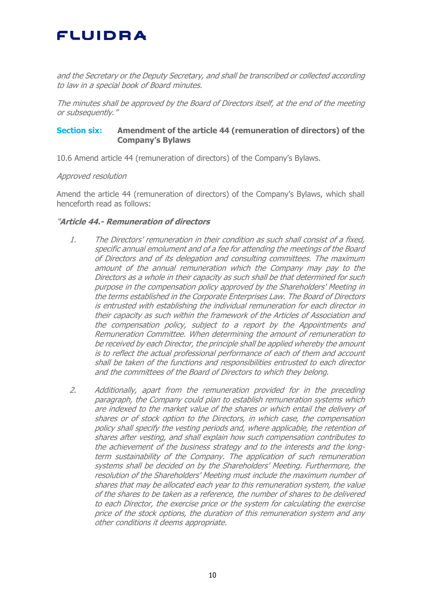and the Secretary or the Deputy Secretary, and shall be transcribed or collected according to law in a special book of Board minutes.

The minutes shall be approved by the Board of Directors itself, at the end of the meeting or subsequently."

## **Section six: Amendment of the article 44 (remuneration of directors) of the Company's Bylaws**

10.6 Amend article 44 (remuneration of directors) of the Company's Bylaws.

## Approved resolution

Amend the article 44 (remuneration of directors) of the Company's Bylaws, which shall henceforth read as follows:

## "**Article 44.- Remuneration of directors**

- 1. The Directors' remuneration in their condition as such shall consist of a fixed, specific annual emolument and of a fee for attending the meetings of the Board of Directors and of its delegation and consulting committees. The maximum amount of the annual remuneration which the Company may pay to the Directors as a whole in their capacity as such shall be that determined for such purpose in the compensation policy approved by the Shareholders' Meeting in the terms established in the Corporate Enterprises Law. The Board of Directors is entrusted with establishing the individual remuneration for each director in their capacity as such within the framework of the Articles of Association and the compensation policy, subject to a report by the Appointments and Remuneration Committee. When determining the amount of remuneration to be received by each Director, the principle shall be applied whereby the amount is to reflect the actual professional performance of each of them and account shall be taken of the functions and responsibilities entrusted to each director and the committees of the Board of Directors to which they belong.
- 2. Additionally, apart from the remuneration provided for in the preceding paragraph, the Company could plan to establish remuneration systems which are indexed to the market value of the shares or which entail the delivery of shares or of stock option to the Directors, in which case, the compensation policy shall specify the vesting periods and, where applicable, the retention of shares after vesting, and shall explain how such compensation contributes to the achievement of the business strategy and to the interests and the longterm sustainability of the Company. The application of such remuneration systems shall be decided on by the Shareholders' Meeting. Furthermore, the resolution of the Shareholders' Meeting must include the maximum number of shares that may be allocated each year to this remuneration system, the value of the shares to be taken as a reference, the number of shares to be delivered to each Director, the exercise price or the system for calculating the exercise price of the stock options, the duration of this remuneration system and any other conditions it deems appropriate.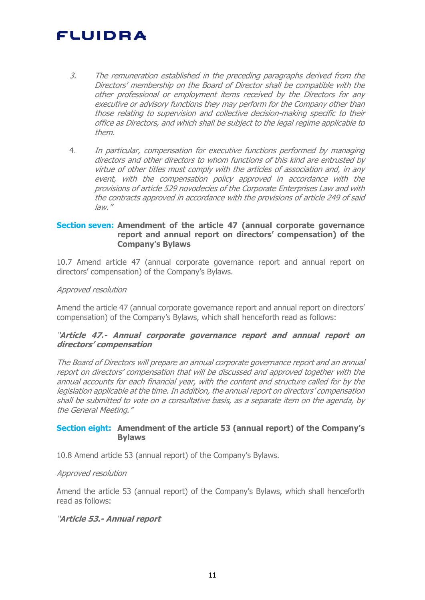- 3. The remuneration established in the preceding paragraphs derived from the Directors' membership on the Board of Director shall be compatible with the other professional or employment items received by the Directors for any executive or advisory functions they may perform for the Company other than those relating to supervision and collective decision-making specific to their office as Directors, and which shall be subject to the legal regime applicable to them.
- 4. In particular, compensation for executive functions performed by managing directors and other directors to whom functions of this kind are entrusted by virtue of other titles must comply with the articles of association and, in any event, with the compensation policy approved in accordance with the provisions of article 529 novodecies of the Corporate Enterprises Law and with the contracts approved in accordance with the provisions of article 249 of said law."

## **Section seven: Amendment of the article 47 (annual corporate governance report and annual report on directors' compensation) of the Company's Bylaws**

10.7 Amend article 47 (annual corporate governance report and annual report on directors' compensation) of the Company's Bylaws.

## Approved resolution

Amend the article 47 (annual corporate governance report and annual report on directors' compensation) of the Company's Bylaws, which shall henceforth read as follows:

### "**Article 47.- Annual corporate governance report and annual report on directors' compensation**

The Board of Directors will prepare an annual corporate governance report and an annual report on directors' compensation that will be discussed and approved together with the annual accounts for each financial year, with the content and structure called for by the legislation applicable at the time. In addition, the annual report on directors' compensation shall be submitted to vote on a consultative basis, as a separate item on the agenda, by the General Meeting."

## **Section eight: Amendment of the article 53 (annual report) of the Company's Bylaws**

10.8 Amend article 53 (annual report) of the Company's Bylaws.

### Approved resolution

Amend the article 53 (annual report) of the Company's Bylaws, which shall henceforth read as follows:

## "**Article 53.- Annual report**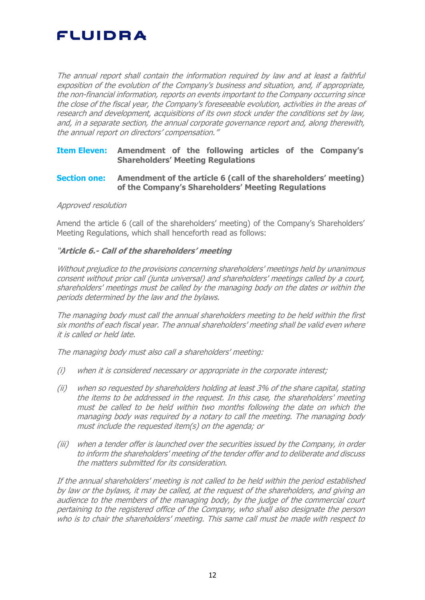The annual report shall contain the information required by law and at least a faithful exposition of the evolution of the Company's business and situation, and, if appropriate, the non-financial information, reports on events important to the Company occurring since the close of the fiscal year, the Company's foreseeable evolution, activities in the areas of research and development, acquisitions of its own stock under the conditions set by law, and, in a separate section, the annual corporate governance report and, along therewith, the annual report on directors' compensation."

## **Item Eleven: Amendment of the following articles of the Company's Shareholders' Meeting Regulations**

### **Section one: Amendment of the article 6 (call of the shareholders' meeting) of the Company's Shareholders' Meeting Regulations**

### Approved resolution

Amend the article 6 (call of the shareholders' meeting) of the Company's Shareholders' Meeting Regulations, which shall henceforth read as follows:

## "**Article 6.- Call of the shareholders' meeting**

Without prejudice to the provisions concerning shareholders' meetings held by unanimous consent without prior call (junta universal) and shareholders' meetings called by a court, shareholders' meetings must be called by the managing body on the dates or within the periods determined by the law and the bylaws.

The managing body must call the annual shareholders meeting to be held within the first six months of each fiscal year. The annual shareholders' meeting shall be valid even where it is called or held late.

The managing body must also call a shareholders' meeting:

- (i) when it is considered necessary or appropriate in the corporate interest;
- (ii) when so requested by shareholders holding at least 3% of the share capital, stating the items to be addressed in the request. In this case, the shareholders' meeting must be called to be held within two months following the date on which the managing body was required by a notary to call the meeting. The managing body must include the requested item(s) on the agenda; or
- (iii) when a tender offer is launched over the securities issued by the Company, in order to inform the shareholders' meeting of the tender offer and to deliberate and discuss the matters submitted for its consideration.

If the annual shareholders' meeting is not called to be held within the period established by law or the bylaws, it may be called, at the request of the shareholders, and giving an audience to the members of the managing body, by the judge of the commercial court pertaining to the registered office of the Company, who shall also designate the person who is to chair the shareholders' meeting. This same call must be made with respect to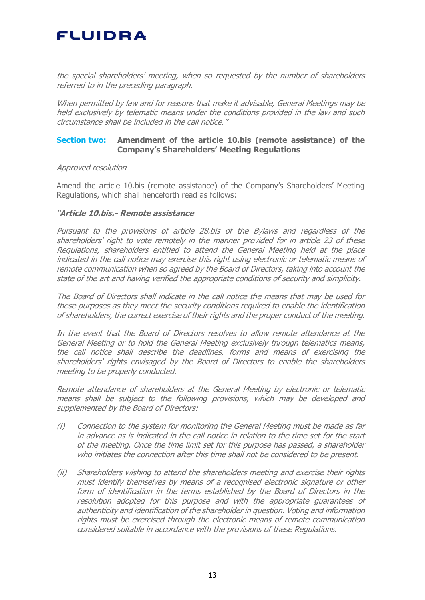the special shareholders' meeting, when so requested by the number of shareholders referred to in the preceding paragraph.

When permitted by law and for reasons that make it advisable, General Meetings may be held exclusively by telematic means under the conditions provided in the law and such circumstance shall be included in the call notice."

## **Section two: Amendment of the article 10.bis (remote assistance) of the Company's Shareholders' Meeting Regulations**

#### Approved resolution

Amend the article 10.bis (remote assistance) of the Company's Shareholders' Meeting Regulations, which shall henceforth read as follows:

#### "**Article 10.bis.- Remote assistance**

Pursuant to the provisions of article 28.bis of the Bylaws and regardless of the shareholders' right to vote remotely in the manner provided for in article 23 of these Regulations, shareholders entitled to attend the General Meeting held at the place indicated in the call notice may exercise this right using electronic or telematic means of remote communication when so agreed by the Board of Directors, taking into account the state of the art and having verified the appropriate conditions of security and simplicity.

The Board of Directors shall indicate in the call notice the means that may be used for these purposes as they meet the security conditions required to enable the identification of shareholders, the correct exercise of their rights and the proper conduct of the meeting.

In the event that the Board of Directors resolves to allow remote attendance at the General Meeting or to hold the General Meeting exclusively through telematics means, the call notice shall describe the deadlines, forms and means of exercising the shareholders' rights envisaged by the Board of Directors to enable the shareholders meeting to be properly conducted.

Remote attendance of shareholders at the General Meeting by electronic or telematic means shall be subject to the following provisions, which may be developed and supplemented by the Board of Directors:

- (i) Connection to the system for monitoring the General Meeting must be made as far in advance as is indicated in the call notice in relation to the time set for the start of the meeting. Once the time limit set for this purpose has passed, a shareholder who initiates the connection after this time shall not be considered to be present.
- (ii) Shareholders wishing to attend the shareholders meeting and exercise their rights must identify themselves by means of a recognised electronic signature or other form of identification in the terms established by the Board of Directors in the resolution adopted for this purpose and with the appropriate guarantees of authenticity and identification of the shareholder in question. Voting and information rights must be exercised through the electronic means of remote communication considered suitable in accordance with the provisions of these Regulations.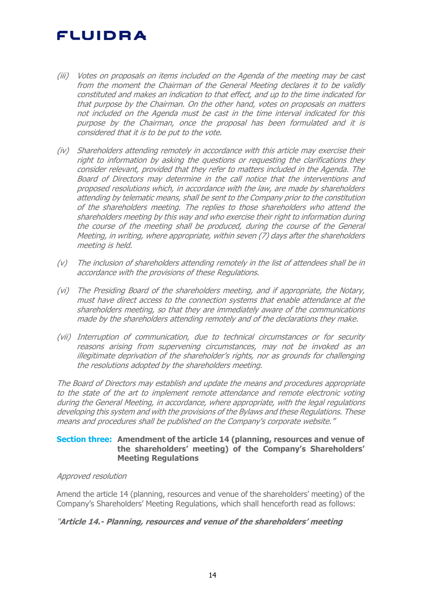- (iii) Votes on proposals on items included on the Agenda of the meeting may be cast from the moment the Chairman of the General Meeting declares it to be validly constituted and makes an indication to that effect, and up to the time indicated for that purpose by the Chairman. On the other hand, votes on proposals on matters not included on the Agenda must be cast in the time interval indicated for this purpose by the Chairman, once the proposal has been formulated and it is considered that it is to be put to the vote.
- (iv) Shareholders attending remotely in accordance with this article may exercise their right to information by asking the questions or requesting the clarifications they consider relevant, provided that they refer to matters included in the Agenda. The Board of Directors may determine in the call notice that the interventions and proposed resolutions which, in accordance with the law, are made by shareholders attending by telematic means, shall be sent to the Company prior to the constitution of the shareholders meeting. The replies to those shareholders who attend the shareholders meeting by this way and who exercise their right to information during the course of the meeting shall be produced, during the course of the General Meeting, in writing, where appropriate, within seven (7) days after the shareholders meeting is held.
- (v) The inclusion of shareholders attending remotely in the list of attendees shall be in accordance with the provisions of these Regulations.
- (vi) The Presiding Board of the shareholders meeting, and if appropriate, the Notary, must have direct access to the connection systems that enable attendance at the shareholders meeting, so that they are immediately aware of the communications made by the shareholders attending remotely and of the declarations they make.
- (vii) Interruption of communication, due to technical circumstances or for security reasons arising from supervening circumstances, may not be invoked as an illegitimate deprivation of the shareholder's rights, nor as grounds for challenging the resolutions adopted by the shareholders meeting.

The Board of Directors may establish and update the means and procedures appropriate to the state of the art to implement remote attendance and remote electronic voting during the General Meeting, in accordance, where appropriate, with the legal regulations developing this system and with the provisions of the Bylaws and these Regulations. These means and procedures shall be published on the Company's corporate website."

## **Section three: Amendment of the article 14 (planning, resources and venue of the shareholders' meeting) of the Company's Shareholders' Meeting Regulations**

### Approved resolution

Amend the article 14 (planning, resources and venue of the shareholders' meeting) of the Company's Shareholders' Meeting Regulations, which shall henceforth read as follows:

## "**Article 14.- Planning, resources and venue of the shareholders' meeting**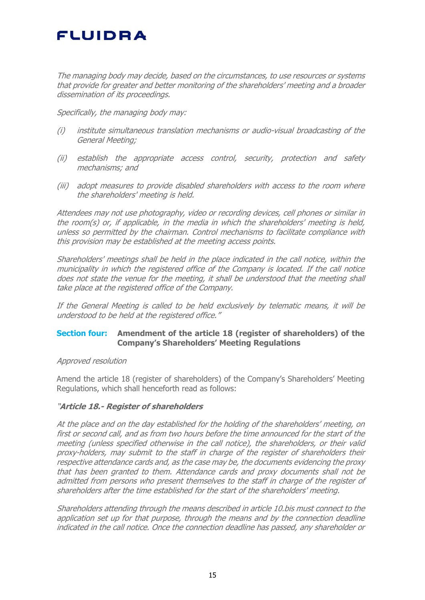The managing body may decide, based on the circumstances, to use resources or systems that provide for greater and better monitoring of the shareholders' meeting and a broader dissemination of its proceedings.

Specifically, the managing body may:

- (i) institute simultaneous translation mechanisms or audio-visual broadcasting of the General Meeting;
- (ii) establish the appropriate access control, security, protection and safety mechanisms; and
- (iii) adopt measures to provide disabled shareholders with access to the room where the shareholders' meeting is held.

Attendees may not use photography, video or recording devices, cell phones or similar in the room(s) or, if applicable, in the media in which the shareholders' meeting is held, unless so permitted by the chairman. Control mechanisms to facilitate compliance with this provision may be established at the meeting access points.

Shareholders' meetings shall be held in the place indicated in the call notice, within the municipality in which the registered office of the Company is located. If the call notice does not state the venue for the meeting, it shall be understood that the meeting shall take place at the registered office of the Company.

If the General Meeting is called to be held exclusively by telematic means, it will be understood to be held at the registered office."

## **Section four: Amendment of the article 18 (register of shareholders) of the Company's Shareholders' Meeting Regulations**

### Approved resolution

Amend the article 18 (register of shareholders) of the Company's Shareholders' Meeting Regulations, which shall henceforth read as follows:

### "**Article 18.- Register of shareholders**

At the place and on the day established for the holding of the shareholders' meeting, on first or second call, and as from two hours before the time announced for the start of the meeting (unless specified otherwise in the call notice), the shareholders, or their valid proxy-holders, may submit to the staff in charge of the register of shareholders their respective attendance cards and, as the case may be, the documents evidencing the proxy that has been granted to them. Attendance cards and proxy documents shall not be admitted from persons who present themselves to the staff in charge of the register of shareholders after the time established for the start of the shareholders' meeting.

Shareholders attending through the means described in article 10.bis must connect to the application set up for that purpose, through the means and by the connection deadline indicated in the call notice. Once the connection deadline has passed, any shareholder or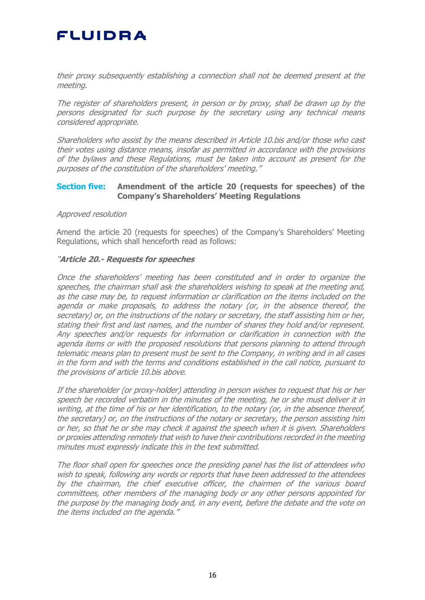their proxy subsequently establishing a connection shall not be deemed present at the meeting.

The register of shareholders present, in person or by proxy, shall be drawn up by the persons designated for such purpose by the secretary using any technical means considered appropriate.

Shareholders who assist by the means described in Article 10.bis and/or those who cast their votes using distance means, insofar as permitted in accordance with the provisions of the bylaws and these Regulations, must be taken into account as present for the purposes of the constitution of the shareholders' meeting."

### **Section five: Amendment of the article 20 (requests for speeches) of the Company's Shareholders' Meeting Regulations**

### Approved resolution

Amend the article 20 (requests for speeches) of the Company's Shareholders' Meeting Regulations, which shall henceforth read as follows:

### "**Article 20.- Requests for speeches**

Once the shareholders' meeting has been constituted and in order to organize the speeches, the chairman shall ask the shareholders wishing to speak at the meeting and, as the case may be, to request information or clarification on the items included on the agenda or make proposals, to address the notary (or, in the absence thereof, the secretary) or, on the instructions of the notary or secretary, the staff assisting him or her, stating their first and last names, and the number of shares they hold and/or represent. Any speeches and/or requests for information or clarification in connection with the agenda items or with the proposed resolutions that persons planning to attend through telematic means plan to present must be sent to the Company, in writing and in all cases in the form and with the terms and conditions established in the call notice, pursuant to the provisions of article 10.bis above.

If the shareholder (or proxy-holder) attending in person wishes to request that his or her speech be recorded verbatim in the minutes of the meeting, he or she must deliver it in writing, at the time of his or her identification, to the notary (or, in the absence thereof, the secretary) or, on the instructions of the notary or secretary, the person assisting him or her, so that he or she may check it against the speech when it is given. Shareholders or proxies attending remotely that wish to have their contributions recorded in the meeting minutes must expressly indicate this in the text submitted.

The floor shall open for speeches once the presiding panel has the list of attendees who wish to speak, following any words or reports that have been addressed to the attendees by the chairman, the chief executive officer, the chairmen of the various board committees, other members of the managing body or any other persons appointed for the purpose by the managing body and, in any event, before the debate and the vote on the items included on the agenda."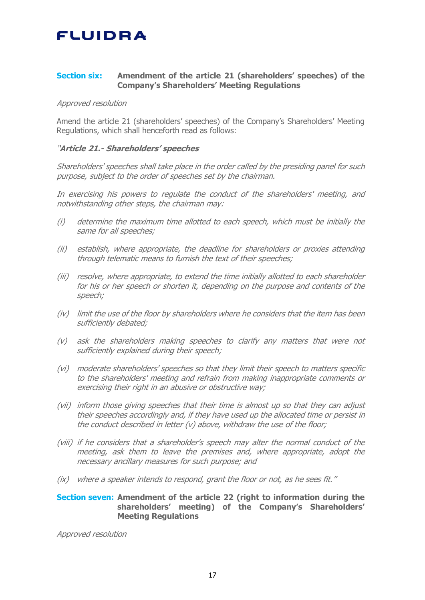## **Section six: Amendment of the article 21 (shareholders' speeches) of the Company's Shareholders' Meeting Regulations**

#### Approved resolution

Amend the article 21 (shareholders' speeches) of the Company's Shareholders' Meeting Regulations, which shall henceforth read as follows:

### "**Article 21.- Shareholders' speeches**

Shareholders' speeches shall take place in the order called by the presiding panel for such purpose, subject to the order of speeches set by the chairman.

In exercising his powers to regulate the conduct of the shareholders' meeting, and notwithstanding other steps, the chairman may:

- (i) determine the maximum time allotted to each speech, which must be initially the same for all speeches;
- (ii) establish, where appropriate, the deadline for shareholders or proxies attending through telematic means to furnish the text of their speeches;
- (iii) resolve, where appropriate, to extend the time initially allotted to each shareholder for his or her speech or shorten it, depending on the purpose and contents of the speech;
- (iv) limit the use of the floor by shareholders where he considers that the item has been sufficiently debated;
- (v) ask the shareholders making speeches to clarify any matters that were not sufficiently explained during their speech;
- (vi) moderate shareholders' speeches so that they limit their speech to matters specific to the shareholders' meeting and refrain from making inappropriate comments or exercising their right in an abusive or obstructive way;
- (vii) inform those giving speeches that their time is almost up so that they can adjust their speeches accordingly and, if they have used up the allocated time or persist in the conduct described in letter (v) above, withdraw the use of the floor;
- (viii) if he considers that a shareholder's speech may alter the normal conduct of the meeting, ask them to leave the premises and, where appropriate, adopt the necessary ancillary measures for such purpose; and
- (ix) where a speaker intends to respond, grant the floor or not, as he sees fit."

### **Section seven: Amendment of the article 22 (right to information during the shareholders' meeting) of the Company's Shareholders' Meeting Regulations**

Approved resolution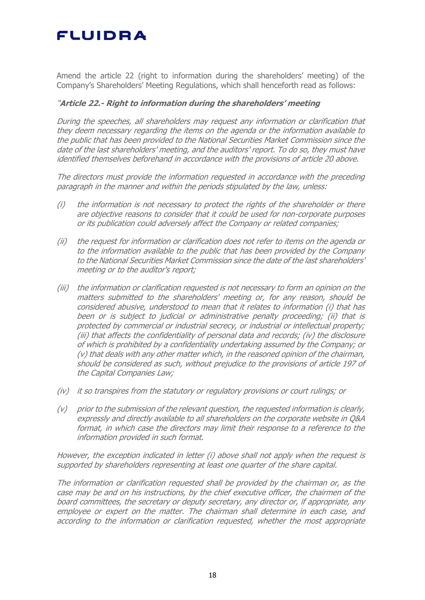Amend the article 22 (right to information during the shareholders' meeting) of the Company's Shareholders' Meeting Regulations, which shall henceforth read as follows:

## "**Article 22.- Right to information during the shareholders' meeting**

During the speeches, all shareholders may request any information or clarification that they deem necessary regarding the items on the agenda or the information available to the public that has been provided to the National Securities Market Commission since the date of the last shareholders' meeting, and the auditors' report. To do so, they must have identified themselves beforehand in accordance with the provisions of article 20 above.

The directors must provide the information requested in accordance with the preceding paragraph in the manner and within the periods stipulated by the law, unless:

- (i) the information is not necessary to protect the rights of the shareholder or there are objective reasons to consider that it could be used for non-corporate purposes or its publication could adversely affect the Company or related companies;
- (ii) the request for information or clarification does not refer to items on the agenda or to the information available to the public that has been provided by the Company to the National Securities Market Commission since the date of the last shareholders' meeting or to the auditor's report;
- (iii) the information or clarification requested is not necessary to form an opinion on the matters submitted to the shareholders' meeting or, for any reason, should be considered abusive, understood to mean that it relates to information (i) that has been or is subject to judicial or administrative penalty proceeding; (ii) that is protected by commercial or industrial secrecy, or industrial or intellectual property; (iii) that affects the confidentiality of personal data and records; (iv) the disclosure of which is prohibited by a confidentiality undertaking assumed by the Company; or (v) that deals with any other matter which, in the reasoned opinion of the chairman, should be considered as such, without prejudice to the provisions of article 197 of the Capital Companies Law;
- (iv) it so transpires from the statutory or regulatory provisions or court rulings; or
- (v) prior to the submission of the relevant question, the requested information is clearly, expressly and directly available to all shareholders on the corporate website in Q&A format, in which case the directors may limit their response to a reference to the information provided in such format.

However, the exception indicated in letter (i) above shall not apply when the request is supported by shareholders representing at least one quarter of the share capital.

The information or clarification requested shall be provided by the chairman or, as the case may be and on his instructions, by the chief executive officer, the chairmen of the board committees, the secretary or deputy secretary, any director or, if appropriate, any employee or expert on the matter. The chairman shall determine in each case, and according to the information or clarification requested, whether the most appropriate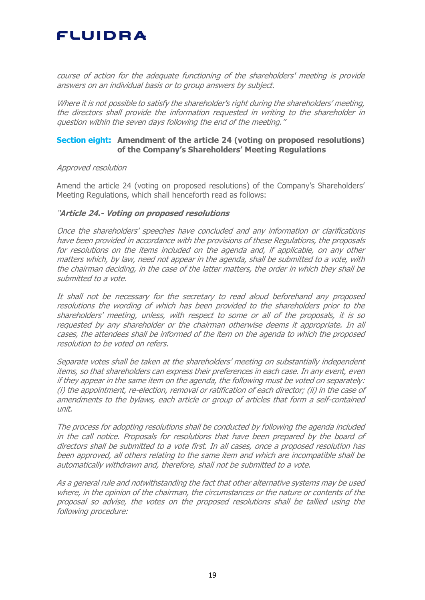course of action for the adequate functioning of the shareholders' meeting is provide answers on an individual basis or to group answers by subject.

Where it is not possible to satisfy the shareholder's right during the shareholders' meeting, the directors shall provide the information requested in writing to the shareholder in question within the seven days following the end of the meeting."

### **Section eight: Amendment of the article 24 (voting on proposed resolutions) of the Company's Shareholders' Meeting Regulations**

#### Approved resolution

Amend the article 24 (voting on proposed resolutions) of the Company's Shareholders' Meeting Regulations, which shall henceforth read as follows:

### "**Article 24.- Voting on proposed resolutions**

Once the shareholders' speeches have concluded and any information or clarifications have been provided in accordance with the provisions of these Regulations, the proposals for resolutions on the items included on the agenda and, if applicable, on any other matters which, by law, need not appear in the agenda, shall be submitted to a vote, with the chairman deciding, in the case of the latter matters, the order in which they shall be submitted to a vote.

It shall not be necessary for the secretary to read aloud beforehand any proposed resolutions the wording of which has been provided to the shareholders prior to the shareholders' meeting, unless, with respect to some or all of the proposals, it is so requested by any shareholder or the chairman otherwise deems it appropriate. In all cases, the attendees shall be informed of the item on the agenda to which the proposed resolution to be voted on refers.

Separate votes shall be taken at the shareholders' meeting on substantially independent items, so that shareholders can express their preferences in each case. In any event, even if they appear in the same item on the agenda, the following must be voted on separately: (i) the appointment, re-election, removal or ratification of each director; (ii) in the case of amendments to the bylaws, each article or group of articles that form a self-contained unit.

The process for adopting resolutions shall be conducted by following the agenda included in the call notice. Proposals for resolutions that have been prepared by the board of directors shall be submitted to a vote first. In all cases, once a proposed resolution has been approved, all others relating to the same item and which are incompatible shall be automatically withdrawn and, therefore, shall not be submitted to a vote.

As a general rule and notwithstanding the fact that other alternative systems may be used where, in the opinion of the chairman, the circumstances or the nature or contents of the proposal so advise, the votes on the proposed resolutions shall be tallied using the following procedure: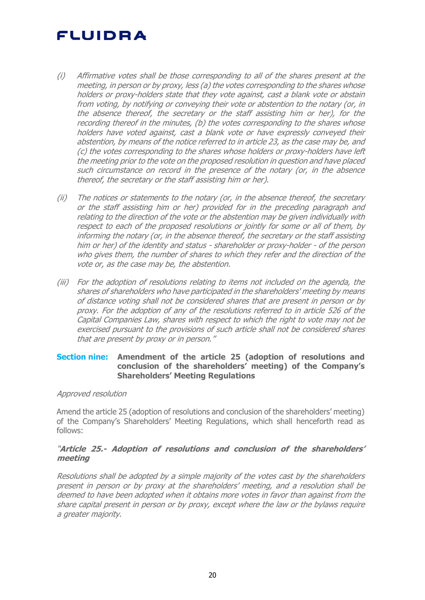- (i) Affirmative votes shall be those corresponding to all of the shares present at the meeting, in person or by proxy, less (a) the votes corresponding to the shares whose holders or proxy-holders state that they vote against, cast a blank vote or abstain from voting, by notifying or conveying their vote or abstention to the notary (or, in the absence thereof, the secretary or the staff assisting him or her), for the recording thereof in the minutes, (b) the votes corresponding to the shares whose holders have voted against, cast a blank vote or have expressly conveyed their abstention, by means of the notice referred to in article 23, as the case may be, and (c) the votes corresponding to the shares whose holders or proxy-holders have left the meeting prior to the vote on the proposed resolution in question and have placed such circumstance on record in the presence of the notary (or, in the absence thereof, the secretary or the staff assisting him or her).
- (ii) The notices or statements to the notary (or, in the absence thereof, the secretary or the staff assisting him or her) provided for in the preceding paragraph and relating to the direction of the vote or the abstention may be given individually with respect to each of the proposed resolutions or jointly for some or all of them, by informing the notary (or, in the absence thereof, the secretary or the staff assisting him or her) of the identity and status - shareholder or proxy-holder - of the person who gives them, the number of shares to which they refer and the direction of the vote or, as the case may be, the abstention.
- (iii) For the adoption of resolutions relating to items not included on the agenda, the shares of shareholders who have participated in the shareholders' meeting by means of distance voting shall not be considered shares that are present in person or by proxy. For the adoption of any of the resolutions referred to in article 526 of the Capital Companies Law, shares with respect to which the right to vote may not be exercised pursuant to the provisions of such article shall not be considered shares that are present by proxy or in person."

## **Section nine: Amendment of the article 25 (adoption of resolutions and conclusion of the shareholders' meeting) of the Company's Shareholders' Meeting Regulations**

### Approved resolution

Amend the article 25 (adoption of resolutions and conclusion of the shareholders' meeting) of the Company's Shareholders' Meeting Regulations, which shall henceforth read as follows:

## "**Article 25.- Adoption of resolutions and conclusion of the shareholders' meeting**

Resolutions shall be adopted by a simple majority of the votes cast by the shareholders present in person or by proxy at the shareholders' meeting, and a resolution shall be deemed to have been adopted when it obtains more votes in favor than against from the share capital present in person or by proxy, except where the law or the bylaws require a greater majority.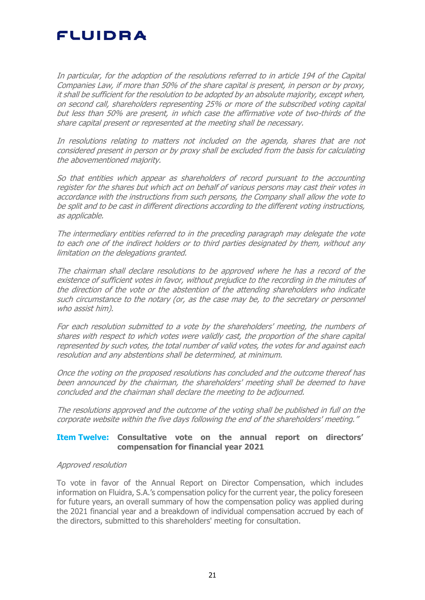In particular, for the adoption of the resolutions referred to in article 194 of the Capital Companies Law, if more than 50% of the share capital is present, in person or by proxy, it shall be sufficient for the resolution to be adopted by an absolute majority, except when, on second call, shareholders representing 25% or more of the subscribed voting capital but less than 50% are present, in which case the affirmative vote of two-thirds of the share capital present or represented at the meeting shall be necessary.

In resolutions relating to matters not included on the agenda, shares that are not considered present in person or by proxy shall be excluded from the basis for calculating the abovementioned majority.

So that entities which appear as shareholders of record pursuant to the accounting register for the shares but which act on behalf of various persons may cast their votes in accordance with the instructions from such persons, the Company shall allow the vote to be split and to be cast in different directions according to the different voting instructions, as applicable.

The intermediary entities referred to in the preceding paragraph may delegate the vote to each one of the indirect holders or to third parties designated by them, without any limitation on the delegations granted.

The chairman shall declare resolutions to be approved where he has a record of the existence of sufficient votes in favor, without prejudice to the recording in the minutes of the direction of the vote or the abstention of the attending shareholders who indicate such circumstance to the notary (or, as the case may be, to the secretary or personnel who assist him).

For each resolution submitted to a vote by the shareholders' meeting, the numbers of shares with respect to which votes were validly cast, the proportion of the share capital represented by such votes, the total number of valid votes, the votes for and against each resolution and any abstentions shall be determined, at minimum.

Once the voting on the proposed resolutions has concluded and the outcome thereof has been announced by the chairman, the shareholders' meeting shall be deemed to have concluded and the chairman shall declare the meeting to be adjourned.

The resolutions approved and the outcome of the voting shall be published in full on the corporate website within the five days following the end of the shareholders' meeting."

## **Item Twelve: Consultative vote on the annual report on directors' compensation for financial year 2021**

### Approved resolution

To vote in favor of the Annual Report on Director Compensation, which includes information on Fluidra, S.A.'s compensation policy for the current year, the policy foreseen for future years, an overall summary of how the compensation policy was applied during the 2021 financial year and a breakdown of individual compensation accrued by each of the directors, submitted to this shareholders' meeting for consultation.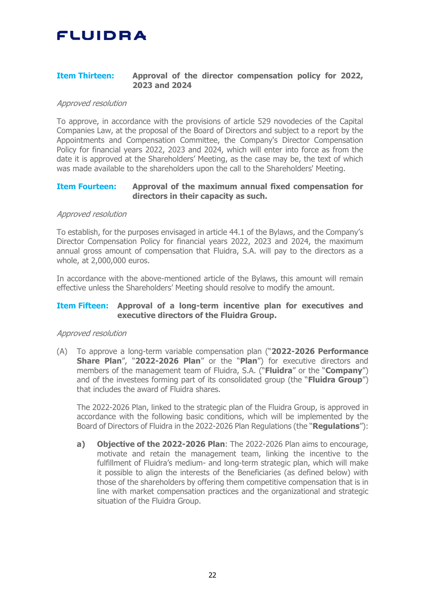## **Item Thirteen: Approval of the director compensation policy for 2022, 2023 and 2024**

### Approved resolution

To approve, in accordance with the provisions of article 529 novodecies of the Capital Companies Law, at the proposal of the Board of Directors and subject to a report by the Appointments and Compensation Committee, the Company's Director Compensation Policy for financial years 2022, 2023 and 2024, which will enter into force as from the date it is approved at the Shareholders' Meeting, as the case may be, the text of which was made available to the shareholders upon the call to the Shareholders' Meeting.

### **Item Fourteen: Approval of the maximum annual fixed compensation for directors in their capacity as such.**

### Approved resolution

To establish, for the purposes envisaged in article 44.1 of the Bylaws, and the Company's Director Compensation Policy for financial years 2022, 2023 and 2024, the maximum annual gross amount of compensation that Fluidra, S.A. will pay to the directors as a whole, at 2,000,000 euros.

In accordance with the above-mentioned article of the Bylaws, this amount will remain effective unless the Shareholders' Meeting should resolve to modify the amount.

### **Item Fifteen: Approval of a long-term incentive plan for executives and executive directors of the Fluidra Group.**

#### Approved resolution

(A) To approve a long-term variable compensation plan ("**2022-2026 Performance Share Plan**", "**2022-2026 Plan**" or the "**Plan**") for executive directors and members of the management team of Fluidra, S.A. ("**Fluidra**" or the "**Company**") and of the investees forming part of its consolidated group (the "**Fluidra Group**") that includes the award of Fluidra shares.

The 2022-2026 Plan, linked to the strategic plan of the Fluidra Group, is approved in accordance with the following basic conditions, which will be implemented by the Board of Directors of Fluidra in the 2022-2026 Plan Regulations (the "**Regulations**"):

**a) Objective of the 2022-2026 Plan**: The 2022-2026 Plan aims to encourage, motivate and retain the management team, linking the incentive to the fulfillment of Fluidra's medium- and long-term strategic plan, which will make it possible to align the interests of the Beneficiaries (as defined below) with those of the shareholders by offering them competitive compensation that is in line with market compensation practices and the organizational and strategic situation of the Fluidra Group.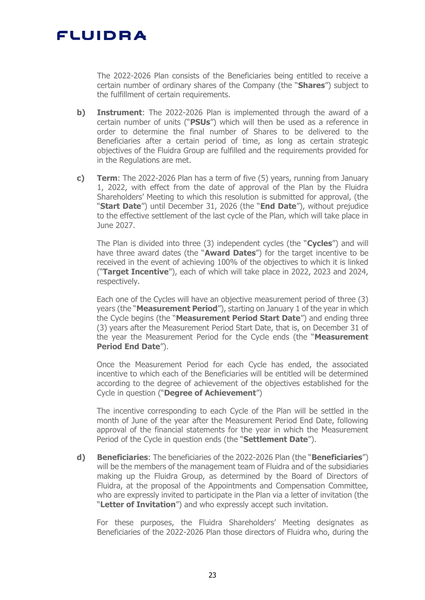The 2022-2026 Plan consists of the Beneficiaries being entitled to receive a certain number of ordinary shares of the Company (the "**Shares**") subject to the fulfillment of certain requirements.

- **b) Instrument**: The 2022-2026 Plan is implemented through the award of a certain number of units ("**PSUs**") which will then be used as a reference in order to determine the final number of Shares to be delivered to the Beneficiaries after a certain period of time, as long as certain strategic objectives of the Fluidra Group are fulfilled and the requirements provided for in the Regulations are met.
- **c) Term**: The 2022-2026 Plan has a term of five (5) years, running from January 1, 2022, with effect from the date of approval of the Plan by the Fluidra Shareholders' Meeting to which this resolution is submitted for approval, (the "**Start Date**") until December 31, 2026 (the "**End Date**"), without prejudice to the effective settlement of the last cycle of the Plan, which will take place in June 2027.

The Plan is divided into three (3) independent cycles (the "**Cycles**") and will have three award dates (the "**Award Dates**") for the target incentive to be received in the event of achieving 100% of the objectives to which it is linked ("**Target Incentive**"), each of which will take place in 2022, 2023 and 2024, respectively.

Each one of the Cycles will have an objective measurement period of three (3) years (the "**Measurement Period**"), starting on January 1 of the year in which the Cycle begins (the "**Measurement Period Start Date**") and ending three (3) years after the Measurement Period Start Date, that is, on December 31 of the year the Measurement Period for the Cycle ends (the "**Measurement Period End Date**").

Once the Measurement Period for each Cycle has ended, the associated incentive to which each of the Beneficiaries will be entitled will be determined according to the degree of achievement of the objectives established for the Cycle in question ("**Degree of Achievement**")

The incentive corresponding to each Cycle of the Plan will be settled in the month of June of the year after the Measurement Period End Date, following approval of the financial statements for the year in which the Measurement Period of the Cycle in question ends (the "**Settlement Date**").

**d) Beneficiaries**: The beneficiaries of the 2022-2026 Plan (the "**Beneficiaries**") will be the members of the management team of Fluidra and of the subsidiaries making up the Fluidra Group, as determined by the Board of Directors of Fluidra, at the proposal of the Appointments and Compensation Committee, who are expressly invited to participate in the Plan via a letter of invitation (the "**Letter of Invitation**") and who expressly accept such invitation.

For these purposes, the Fluidra Shareholders' Meeting designates as Beneficiaries of the 2022-2026 Plan those directors of Fluidra who, during the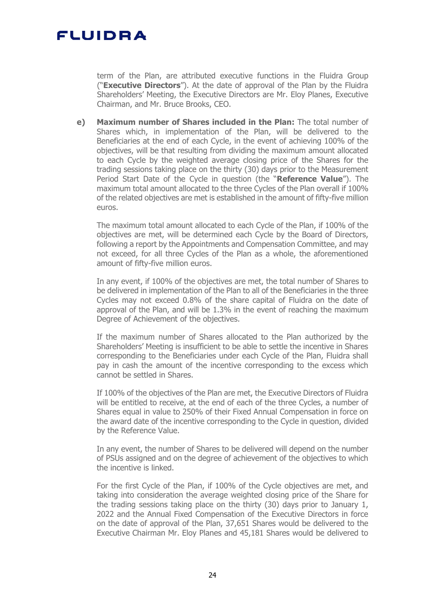term of the Plan, are attributed executive functions in the Fluidra Group ("**Executive Directors**"). At the date of approval of the Plan by the Fluidra Shareholders' Meeting, the Executive Directors are Mr. Eloy Planes, Executive Chairman, and Mr. Bruce Brooks, CEO.

**e) Maximum number of Shares included in the Plan:** The total number of Shares which, in implementation of the Plan, will be delivered to the Beneficiaries at the end of each Cycle, in the event of achieving 100% of the objectives, will be that resulting from dividing the maximum amount allocated to each Cycle by the weighted average closing price of the Shares for the trading sessions taking place on the thirty (30) days prior to the Measurement Period Start Date of the Cycle in question (the "**Reference Value**"). The maximum total amount allocated to the three Cycles of the Plan overall if 100% of the related objectives are met is established in the amount of fifty-five million euros.

The maximum total amount allocated to each Cycle of the Plan, if 100% of the objectives are met, will be determined each Cycle by the Board of Directors, following a report by the Appointments and Compensation Committee, and may not exceed, for all three Cycles of the Plan as a whole, the aforementioned amount of fifty-five million euros.

In any event, if 100% of the objectives are met, the total number of Shares to be delivered in implementation of the Plan to all of the Beneficiaries in the three Cycles may not exceed 0.8% of the share capital of Fluidra on the date of approval of the Plan, and will be 1.3% in the event of reaching the maximum Degree of Achievement of the objectives.

If the maximum number of Shares allocated to the Plan authorized by the Shareholders' Meeting is insufficient to be able to settle the incentive in Shares corresponding to the Beneficiaries under each Cycle of the Plan, Fluidra shall pay in cash the amount of the incentive corresponding to the excess which cannot be settled in Shares.

If 100% of the objectives of the Plan are met, the Executive Directors of Fluidra will be entitled to receive, at the end of each of the three Cycles, a number of Shares equal in value to 250% of their Fixed Annual Compensation in force on the award date of the incentive corresponding to the Cycle in question, divided by the Reference Value.

In any event, the number of Shares to be delivered will depend on the number of PSUs assigned and on the degree of achievement of the objectives to which the incentive is linked.

For the first Cycle of the Plan, if 100% of the Cycle objectives are met, and taking into consideration the average weighted closing price of the Share for the trading sessions taking place on the thirty (30) days prior to January 1, 2022 and the Annual Fixed Compensation of the Executive Directors in force on the date of approval of the Plan, 37,651 Shares would be delivered to the Executive Chairman Mr. Eloy Planes and 45,181 Shares would be delivered to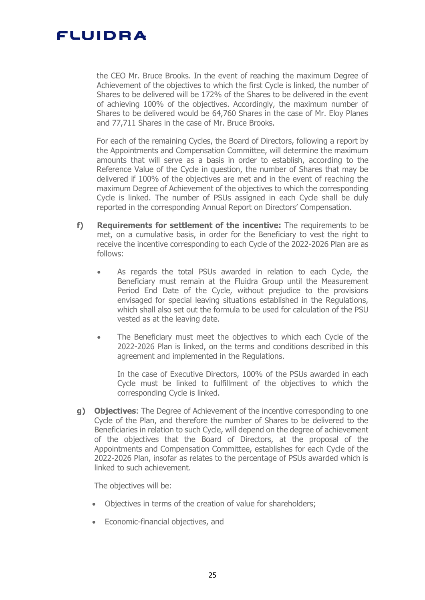the CEO Mr. Bruce Brooks. In the event of reaching the maximum Degree of Achievement of the objectives to which the first Cycle is linked, the number of Shares to be delivered will be 172% of the Shares to be delivered in the event of achieving 100% of the objectives. Accordingly, the maximum number of Shares to be delivered would be 64,760 Shares in the case of Mr. Eloy Planes and 77,711 Shares in the case of Mr. Bruce Brooks.

For each of the remaining Cycles, the Board of Directors, following a report by the Appointments and Compensation Committee, will determine the maximum amounts that will serve as a basis in order to establish, according to the Reference Value of the Cycle in question, the number of Shares that may be delivered if 100% of the objectives are met and in the event of reaching the maximum Degree of Achievement of the objectives to which the corresponding Cycle is linked. The number of PSUs assigned in each Cycle shall be duly reported in the corresponding Annual Report on Directors' Compensation.

- **f) Requirements for settlement of the incentive:** The requirements to be met, on a cumulative basis, in order for the Beneficiary to vest the right to receive the incentive corresponding to each Cycle of the 2022-2026 Plan are as follows:
	- As regards the total PSUs awarded in relation to each Cycle, the Beneficiary must remain at the Fluidra Group until the Measurement Period End Date of the Cycle, without prejudice to the provisions envisaged for special leaving situations established in the Regulations, which shall also set out the formula to be used for calculation of the PSU vested as at the leaving date.
	- The Beneficiary must meet the objectives to which each Cycle of the 2022-2026 Plan is linked, on the terms and conditions described in this agreement and implemented in the Regulations.

In the case of Executive Directors, 100% of the PSUs awarded in each Cycle must be linked to fulfillment of the objectives to which the corresponding Cycle is linked.

**g) Objectives**: The Degree of Achievement of the incentive corresponding to one Cycle of the Plan, and therefore the number of Shares to be delivered to the Beneficiaries in relation to such Cycle, will depend on the degree of achievement of the objectives that the Board of Directors, at the proposal of the Appointments and Compensation Committee, establishes for each Cycle of the 2022-2026 Plan, insofar as relates to the percentage of PSUs awarded which is linked to such achievement.

The objectives will be:

- Objectives in terms of the creation of value for shareholders;
- Economic-financial objectives, and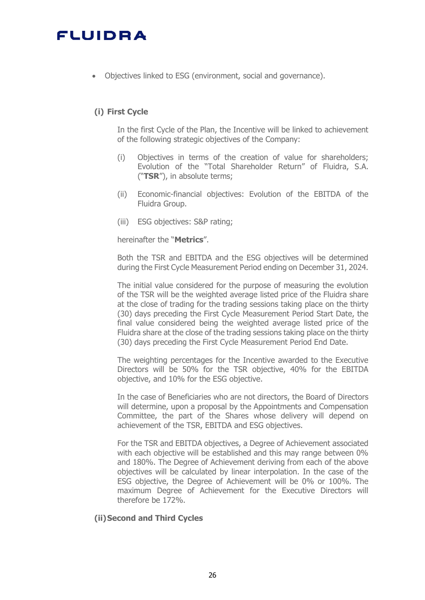Objectives linked to ESG (environment, social and governance).

## **(i) First Cycle**

In the first Cycle of the Plan, the Incentive will be linked to achievement of the following strategic objectives of the Company:

- (i) Objectives in terms of the creation of value for shareholders; Evolution of the "Total Shareholder Return" of Fluidra, S.A. ("**TSR**"), in absolute terms;
- (ii) Economic-financial objectives: Evolution of the EBITDA of the Fluidra Group.
- (iii) ESG objectives: S&P rating;

hereinafter the "**Metrics**".

Both the TSR and EBITDA and the ESG objectives will be determined during the First Cycle Measurement Period ending on December 31, 2024.

The initial value considered for the purpose of measuring the evolution of the TSR will be the weighted average listed price of the Fluidra share at the close of trading for the trading sessions taking place on the thirty (30) days preceding the First Cycle Measurement Period Start Date, the final value considered being the weighted average listed price of the Fluidra share at the close of the trading sessions taking place on the thirty (30) days preceding the First Cycle Measurement Period End Date.

The weighting percentages for the Incentive awarded to the Executive Directors will be 50% for the TSR objective, 40% for the EBITDA objective, and 10% for the ESG objective.

In the case of Beneficiaries who are not directors, the Board of Directors will determine, upon a proposal by the Appointments and Compensation Committee, the part of the Shares whose delivery will depend on achievement of the TSR, EBITDA and ESG objectives.

For the TSR and EBITDA objectives, a Degree of Achievement associated with each objective will be established and this may range between 0% and 180%. The Degree of Achievement deriving from each of the above objectives will be calculated by linear interpolation. In the case of the ESG objective, the Degree of Achievement will be 0% or 100%. The maximum Degree of Achievement for the Executive Directors will therefore be 172%.

### **(ii)Second and Third Cycles**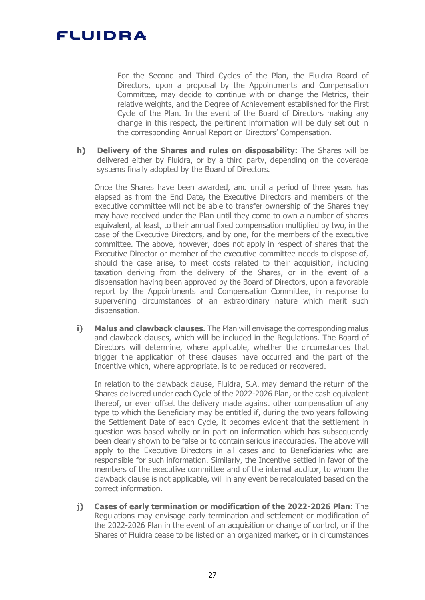For the Second and Third Cycles of the Plan, the Fluidra Board of Directors, upon a proposal by the Appointments and Compensation Committee, may decide to continue with or change the Metrics, their relative weights, and the Degree of Achievement established for the First Cycle of the Plan. In the event of the Board of Directors making any change in this respect, the pertinent information will be duly set out in the corresponding Annual Report on Directors' Compensation.

**h) Delivery of the Shares and rules on disposability:** The Shares will be delivered either by Fluidra, or by a third party, depending on the coverage systems finally adopted by the Board of Directors.

Once the Shares have been awarded, and until a period of three years has elapsed as from the End Date, the Executive Directors and members of the executive committee will not be able to transfer ownership of the Shares they may have received under the Plan until they come to own a number of shares equivalent, at least, to their annual fixed compensation multiplied by two, in the case of the Executive Directors, and by one, for the members of the executive committee. The above, however, does not apply in respect of shares that the Executive Director or member of the executive committee needs to dispose of, should the case arise, to meet costs related to their acquisition, including taxation deriving from the delivery of the Shares, or in the event of a dispensation having been approved by the Board of Directors, upon a favorable report by the Appointments and Compensation Committee, in response to supervening circumstances of an extraordinary nature which merit such dispensation.

**i) Malus and clawback clauses.** The Plan will envisage the corresponding malus and clawback clauses, which will be included in the Regulations. The Board of Directors will determine, where applicable, whether the circumstances that trigger the application of these clauses have occurred and the part of the Incentive which, where appropriate, is to be reduced or recovered.

In relation to the clawback clause, Fluidra, S.A. may demand the return of the Shares delivered under each Cycle of the 2022-2026 Plan, or the cash equivalent thereof, or even offset the delivery made against other compensation of any type to which the Beneficiary may be entitled if, during the two years following the Settlement Date of each Cycle, it becomes evident that the settlement in question was based wholly or in part on information which has subsequently been clearly shown to be false or to contain serious inaccuracies. The above will apply to the Executive Directors in all cases and to Beneficiaries who are responsible for such information. Similarly, the Incentive settled in favor of the members of the executive committee and of the internal auditor, to whom the clawback clause is not applicable, will in any event be recalculated based on the correct information.

**j) Cases of early termination or modification of the 2022-2026 Plan**: The Regulations may envisage early termination and settlement or modification of the 2022-2026 Plan in the event of an acquisition or change of control, or if the Shares of Fluidra cease to be listed on an organized market, or in circumstances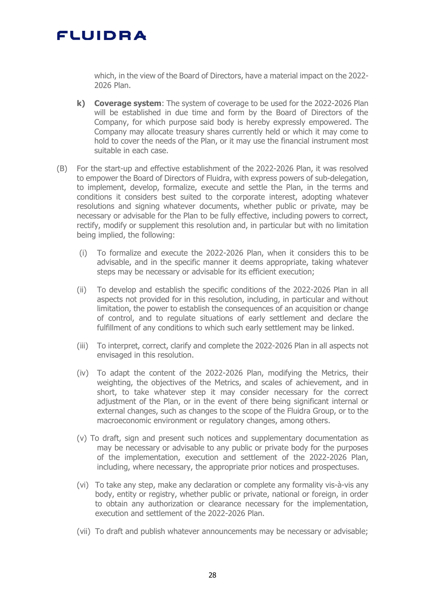which, in the view of the Board of Directors, have a material impact on the 2022- 2026 Plan.

- **k) Coverage system**: The system of coverage to be used for the 2022-2026 Plan will be established in due time and form by the Board of Directors of the Company, for which purpose said body is hereby expressly empowered. The Company may allocate treasury shares currently held or which it may come to hold to cover the needs of the Plan, or it may use the financial instrument most suitable in each case.
- (B) For the start-up and effective establishment of the 2022-2026 Plan, it was resolved to empower the Board of Directors of Fluidra, with express powers of sub-delegation, to implement, develop, formalize, execute and settle the Plan, in the terms and conditions it considers best suited to the corporate interest, adopting whatever resolutions and signing whatever documents, whether public or private, may be necessary or advisable for the Plan to be fully effective, including powers to correct, rectify, modify or supplement this resolution and, in particular but with no limitation being implied, the following:
	- (i) To formalize and execute the 2022-2026 Plan, when it considers this to be advisable, and in the specific manner it deems appropriate, taking whatever steps may be necessary or advisable for its efficient execution;
	- (ii) To develop and establish the specific conditions of the 2022-2026 Plan in all aspects not provided for in this resolution, including, in particular and without limitation, the power to establish the consequences of an acquisition or change of control, and to regulate situations of early settlement and declare the fulfillment of any conditions to which such early settlement may be linked.
	- (iii) To interpret, correct, clarify and complete the 2022-2026 Plan in all aspects not envisaged in this resolution.
	- (iv) To adapt the content of the 2022-2026 Plan, modifying the Metrics, their weighting, the objectives of the Metrics, and scales of achievement, and in short, to take whatever step it may consider necessary for the correct adjustment of the Plan, or in the event of there being significant internal or external changes, such as changes to the scope of the Fluidra Group, or to the macroeconomic environment or regulatory changes, among others.
	- (v) To draft, sign and present such notices and supplementary documentation as may be necessary or advisable to any public or private body for the purposes of the implementation, execution and settlement of the 2022-2026 Plan, including, where necessary, the appropriate prior notices and prospectuses.
	- (vi) To take any step, make any declaration or complete any formality vis-à-vis any body, entity or registry, whether public or private, national or foreign, in order to obtain any authorization or clearance necessary for the implementation, execution and settlement of the 2022-2026 Plan.
	- (vii) To draft and publish whatever announcements may be necessary or advisable;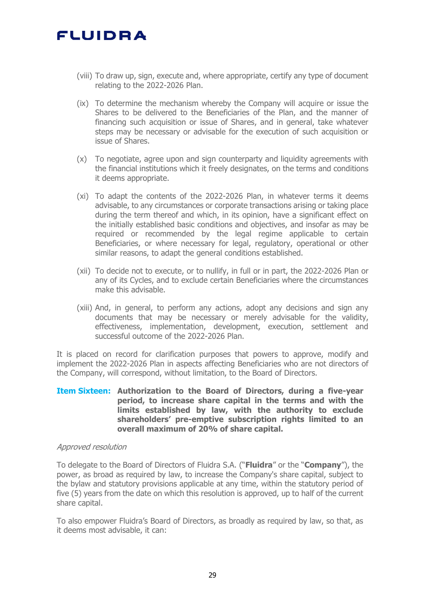- (viii) To draw up, sign, execute and, where appropriate, certify any type of document relating to the 2022-2026 Plan.
- (ix) To determine the mechanism whereby the Company will acquire or issue the Shares to be delivered to the Beneficiaries of the Plan, and the manner of financing such acquisition or issue of Shares, and in general, take whatever steps may be necessary or advisable for the execution of such acquisition or issue of Shares.
- (x) To negotiate, agree upon and sign counterparty and liquidity agreements with the financial institutions which it freely designates, on the terms and conditions it deems appropriate.
- (xi) To adapt the contents of the 2022-2026 Plan, in whatever terms it deems advisable, to any circumstances or corporate transactions arising or taking place during the term thereof and which, in its opinion, have a significant effect on the initially established basic conditions and objectives, and insofar as may be required or recommended by the legal regime applicable to certain Beneficiaries, or where necessary for legal, regulatory, operational or other similar reasons, to adapt the general conditions established.
- (xii) To decide not to execute, or to nullify, in full or in part, the 2022-2026 Plan or any of its Cycles, and to exclude certain Beneficiaries where the circumstances make this advisable.
- (xiii) And, in general, to perform any actions, adopt any decisions and sign any documents that may be necessary or merely advisable for the validity, effectiveness, implementation, development, execution, settlement and successful outcome of the 2022-2026 Plan.

It is placed on record for clarification purposes that powers to approve, modify and implement the 2022-2026 Plan in aspects affecting Beneficiaries who are not directors of the Company, will correspond, without limitation, to the Board of Directors.

### **Item Sixteen: Authorization to the Board of Directors, during a five-year period, to increase share capital in the terms and with the limits established by law, with the authority to exclude shareholders' pre-emptive subscription rights limited to an overall maximum of 20% of share capital.**

### Approved resolution

To delegate to the Board of Directors of Fluidra S.A. ("**Fluidra**" or the "**Company**"), the power, as broad as required by law, to increase the Company's share capital, subject to the bylaw and statutory provisions applicable at any time, within the statutory period of five (5) years from the date on which this resolution is approved, up to half of the current share capital.

To also empower Fluidra's Board of Directors, as broadly as required by law, so that, as it deems most advisable, it can: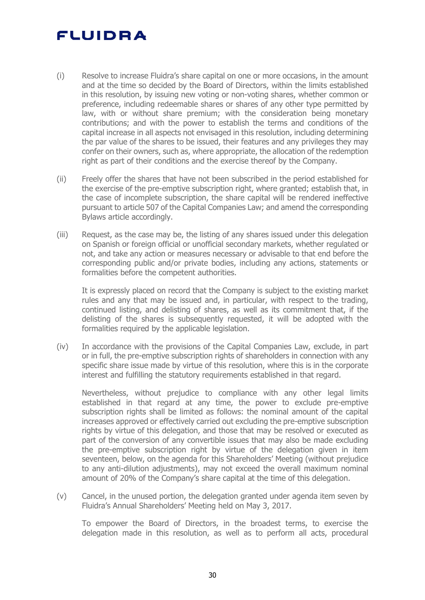- (i) Resolve to increase Fluidra's share capital on one or more occasions, in the amount and at the time so decided by the Board of Directors, within the limits established in this resolution, by issuing new voting or non-voting shares, whether common or preference, including redeemable shares or shares of any other type permitted by law, with or without share premium; with the consideration being monetary contributions; and with the power to establish the terms and conditions of the capital increase in all aspects not envisaged in this resolution, including determining the par value of the shares to be issued, their features and any privileges they may confer on their owners, such as, where appropriate, the allocation of the redemption right as part of their conditions and the exercise thereof by the Company.
- (ii) Freely offer the shares that have not been subscribed in the period established for the exercise of the pre-emptive subscription right, where granted; establish that, in the case of incomplete subscription, the share capital will be rendered ineffective pursuant to article 507 of the Capital Companies Law; and amend the corresponding Bylaws article accordingly.
- (iii) Request, as the case may be, the listing of any shares issued under this delegation on Spanish or foreign official or unofficial secondary markets, whether regulated or not, and take any action or measures necessary or advisable to that end before the corresponding public and/or private bodies, including any actions, statements or formalities before the competent authorities.

It is expressly placed on record that the Company is subject to the existing market rules and any that may be issued and, in particular, with respect to the trading, continued listing, and delisting of shares, as well as its commitment that, if the delisting of the shares is subsequently requested, it will be adopted with the formalities required by the applicable legislation.

(iv) In accordance with the provisions of the Capital Companies Law, exclude, in part or in full, the pre-emptive subscription rights of shareholders in connection with any specific share issue made by virtue of this resolution, where this is in the corporate interest and fulfilling the statutory requirements established in that regard.

Nevertheless, without prejudice to compliance with any other legal limits established in that regard at any time, the power to exclude pre-emptive subscription rights shall be limited as follows: the nominal amount of the capital increases approved or effectively carried out excluding the pre-emptive subscription rights by virtue of this delegation, and those that may be resolved or executed as part of the conversion of any convertible issues that may also be made excluding the pre-emptive subscription right by virtue of the delegation given in item seventeen, below, on the agenda for this Shareholders' Meeting (without prejudice to any anti-dilution adjustments), may not exceed the overall maximum nominal amount of 20% of the Company's share capital at the time of this delegation.

(v) Cancel, in the unused portion, the delegation granted under agenda item seven by Fluidra's Annual Shareholders' Meeting held on May 3, 2017.

To empower the Board of Directors, in the broadest terms, to exercise the delegation made in this resolution, as well as to perform all acts, procedural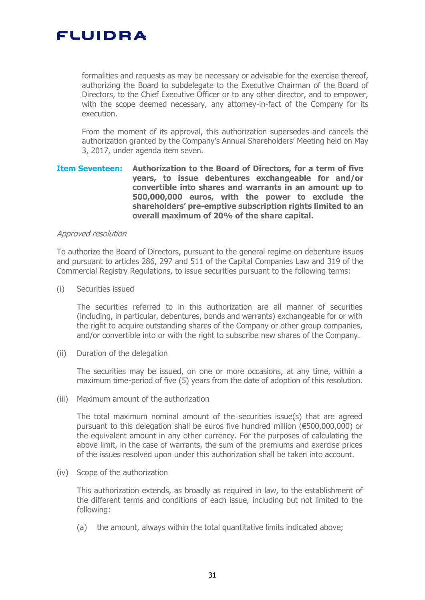formalities and requests as may be necessary or advisable for the exercise thereof, authorizing the Board to subdelegate to the Executive Chairman of the Board of Directors, to the Chief Executive Officer or to any other director, and to empower, with the scope deemed necessary, any attorney-in-fact of the Company for its execution.

From the moment of its approval, this authorization supersedes and cancels the authorization granted by the Company's Annual Shareholders' Meeting held on May 3, 2017, under agenda item seven.

### **Item Seventeen: Authorization to the Board of Directors, for a term of five years, to issue debentures exchangeable for and/or convertible into shares and warrants in an amount up to 500,000,000 euros, with the power to exclude the shareholders' pre-emptive subscription rights limited to an overall maximum of 20% of the share capital.**

#### Approved resolution

To authorize the Board of Directors, pursuant to the general regime on debenture issues and pursuant to articles 286, 297 and 511 of the Capital Companies Law and 319 of the Commercial Registry Regulations, to issue securities pursuant to the following terms:

(i) Securities issued

The securities referred to in this authorization are all manner of securities (including, in particular, debentures, bonds and warrants) exchangeable for or with the right to acquire outstanding shares of the Company or other group companies, and/or convertible into or with the right to subscribe new shares of the Company.

(ii) Duration of the delegation

The securities may be issued, on one or more occasions, at any time, within a maximum time-period of five (5) years from the date of adoption of this resolution.

(iii) Maximum amount of the authorization

The total maximum nominal amount of the securities issue(s) that are agreed pursuant to this delegation shall be euros five hundred million (€500,000,000) or the equivalent amount in any other currency. For the purposes of calculating the above limit, in the case of warrants, the sum of the premiums and exercise prices of the issues resolved upon under this authorization shall be taken into account.

(iv) Scope of the authorization

This authorization extends, as broadly as required in law, to the establishment of the different terms and conditions of each issue, including but not limited to the following:

(a) the amount, always within the total quantitative limits indicated above;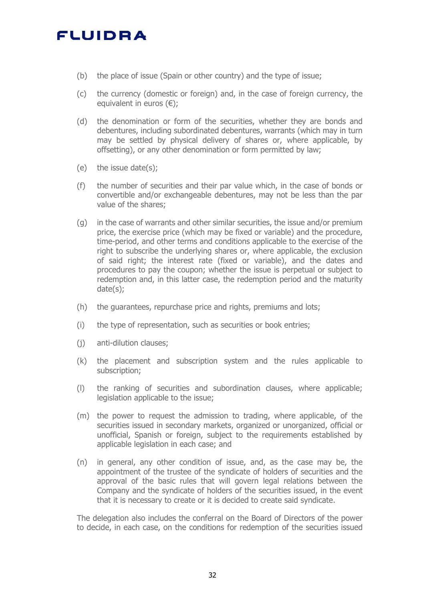- (b) the place of issue (Spain or other country) and the type of issue;
- (c) the currency (domestic or foreign) and, in the case of foreign currency, the equivalent in euros  $(\epsilon)$ ;
- (d) the denomination or form of the securities, whether they are bonds and debentures, including subordinated debentures, warrants (which may in turn may be settled by physical delivery of shares or, where applicable, by offsetting), or any other denomination or form permitted by law;
- (e) the issue date(s);
- (f) the number of securities and their par value which, in the case of bonds or convertible and/or exchangeable debentures, may not be less than the par value of the shares;
- (g) in the case of warrants and other similar securities, the issue and/or premium price, the exercise price (which may be fixed or variable) and the procedure, time-period, and other terms and conditions applicable to the exercise of the right to subscribe the underlying shares or, where applicable, the exclusion of said right; the interest rate (fixed or variable), and the dates and procedures to pay the coupon; whether the issue is perpetual or subject to redemption and, in this latter case, the redemption period and the maturity date(s);
- (h) the guarantees, repurchase price and rights, premiums and lots;
- (i) the type of representation, such as securities or book entries;
- (j) anti-dilution clauses;
- (k) the placement and subscription system and the rules applicable to subscription;
- (l) the ranking of securities and subordination clauses, where applicable; legislation applicable to the issue;
- (m) the power to request the admission to trading, where applicable, of the securities issued in secondary markets, organized or unorganized, official or unofficial, Spanish or foreign, subject to the requirements established by applicable legislation in each case; and
- (n) in general, any other condition of issue, and, as the case may be, the appointment of the trustee of the syndicate of holders of securities and the approval of the basic rules that will govern legal relations between the Company and the syndicate of holders of the securities issued, in the event that it is necessary to create or it is decided to create said syndicate.

The delegation also includes the conferral on the Board of Directors of the power to decide, in each case, on the conditions for redemption of the securities issued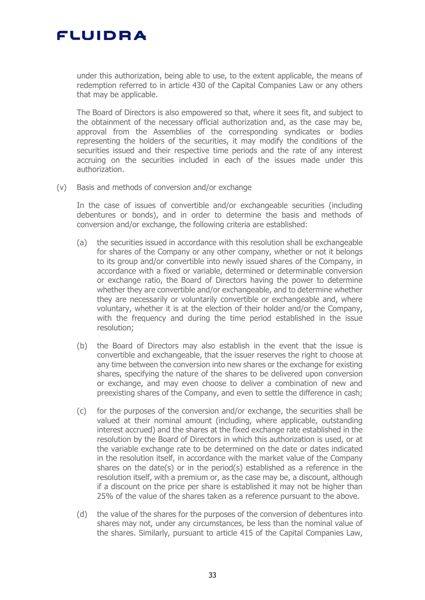

under this authorization, being able to use, to the extent applicable, the means of redemption referred to in article 430 of the Capital Companies Law or any others that may be applicable.

The Board of Directors is also empowered so that, where it sees fit, and subject to the obtainment of the necessary official authorization and, as the case may be, approval from the Assemblies of the corresponding syndicates or bodies representing the holders of the securities, it may modify the conditions of the securities issued and their respective time periods and the rate of any interest accruing on the securities included in each of the issues made under this authorization.

(v) Basis and methods of conversion and/or exchange

In the case of issues of convertible and/or exchangeable securities (including debentures or bonds), and in order to determine the basis and methods of conversion and/or exchange, the following criteria are established:

- (a) the securities issued in accordance with this resolution shall be exchangeable for shares of the Company or any other company, whether or not it belongs to its group and/or convertible into newly issued shares of the Company, in accordance with a fixed or variable, determined or determinable conversion or exchange ratio, the Board of Directors having the power to determine whether they are convertible and/or exchangeable, and to determine whether they are necessarily or voluntarily convertible or exchangeable and, where voluntary, whether it is at the election of their holder and/or the Company, with the frequency and during the time period established in the issue resolution;
- (b) the Board of Directors may also establish in the event that the issue is convertible and exchangeable, that the issuer reserves the right to choose at any time between the conversion into new shares or the exchange for existing shares, specifying the nature of the shares to be delivered upon conversion or exchange, and may even choose to deliver a combination of new and preexisting shares of the Company, and even to settle the difference in cash;
- (c) for the purposes of the conversion and/or exchange, the securities shall be valued at their nominal amount (including, where applicable, outstanding interest accrued) and the shares at the fixed exchange rate established in the resolution by the Board of Directors in which this authorization is used, or at the variable exchange rate to be determined on the date or dates indicated in the resolution itself, in accordance with the market value of the Company shares on the date(s) or in the period(s) established as a reference in the resolution itself, with a premium or, as the case may be, a discount, although if a discount on the price per share is established it may not be higher than 25% of the value of the shares taken as a reference pursuant to the above.
- (d) the value of the shares for the purposes of the conversion of debentures into shares may not, under any circumstances, be less than the nominal value of the shares. Similarly, pursuant to article 415 of the Capital Companies Law,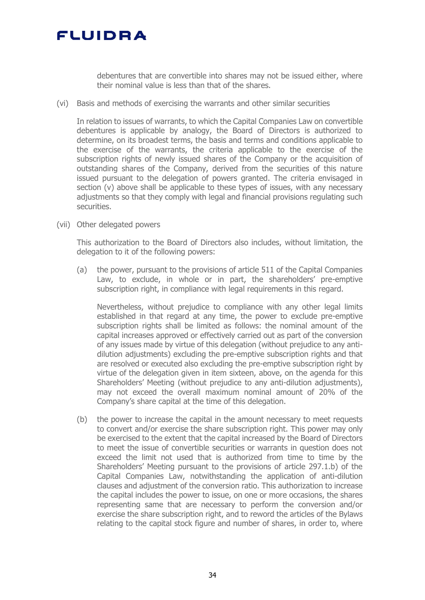debentures that are convertible into shares may not be issued either, where their nominal value is less than that of the shares.

(vi) Basis and methods of exercising the warrants and other similar securities

In relation to issues of warrants, to which the Capital Companies Law on convertible debentures is applicable by analogy, the Board of Directors is authorized to determine, on its broadest terms, the basis and terms and conditions applicable to the exercise of the warrants, the criteria applicable to the exercise of the subscription rights of newly issued shares of the Company or the acquisition of outstanding shares of the Company, derived from the securities of this nature issued pursuant to the delegation of powers granted. The criteria envisaged in section (v) above shall be applicable to these types of issues, with any necessary adjustments so that they comply with legal and financial provisions regulating such securities.

(vii) Other delegated powers

This authorization to the Board of Directors also includes, without limitation, the delegation to it of the following powers:

(a) the power, pursuant to the provisions of article 511 of the Capital Companies Law, to exclude, in whole or in part, the shareholders' pre-emptive subscription right, in compliance with legal requirements in this regard.

Nevertheless, without prejudice to compliance with any other legal limits established in that regard at any time, the power to exclude pre-emptive subscription rights shall be limited as follows: the nominal amount of the capital increases approved or effectively carried out as part of the conversion of any issues made by virtue of this delegation (without prejudice to any antidilution adjustments) excluding the pre-emptive subscription rights and that are resolved or executed also excluding the pre-emptive subscription right by virtue of the delegation given in item sixteen, above, on the agenda for this Shareholders' Meeting (without prejudice to any anti-dilution adjustments), may not exceed the overall maximum nominal amount of 20% of the Company's share capital at the time of this delegation.

(b) the power to increase the capital in the amount necessary to meet requests to convert and/or exercise the share subscription right. This power may only be exercised to the extent that the capital increased by the Board of Directors to meet the issue of convertible securities or warrants in question does not exceed the limit not used that is authorized from time to time by the Shareholders' Meeting pursuant to the provisions of article 297.1.b) of the Capital Companies Law, notwithstanding the application of anti-dilution clauses and adjustment of the conversion ratio. This authorization to increase the capital includes the power to issue, on one or more occasions, the shares representing same that are necessary to perform the conversion and/or exercise the share subscription right, and to reword the articles of the Bylaws relating to the capital stock figure and number of shares, in order to, where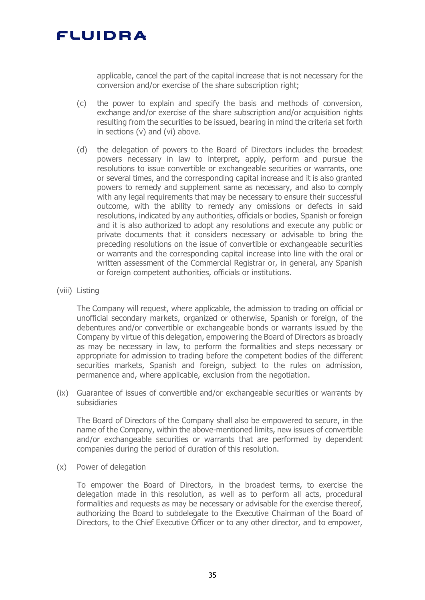

applicable, cancel the part of the capital increase that is not necessary for the conversion and/or exercise of the share subscription right;

- (c) the power to explain and specify the basis and methods of conversion, exchange and/or exercise of the share subscription and/or acquisition rights resulting from the securities to be issued, bearing in mind the criteria set forth in sections (v) and (vi) above.
- (d) the delegation of powers to the Board of Directors includes the broadest powers necessary in law to interpret, apply, perform and pursue the resolutions to issue convertible or exchangeable securities or warrants, one or several times, and the corresponding capital increase and it is also granted powers to remedy and supplement same as necessary, and also to comply with any legal requirements that may be necessary to ensure their successful outcome, with the ability to remedy any omissions or defects in said resolutions, indicated by any authorities, officials or bodies, Spanish or foreign and it is also authorized to adopt any resolutions and execute any public or private documents that it considers necessary or advisable to bring the preceding resolutions on the issue of convertible or exchangeable securities or warrants and the corresponding capital increase into line with the oral or written assessment of the Commercial Registrar or, in general, any Spanish or foreign competent authorities, officials or institutions.
- (viii) Listing

The Company will request, where applicable, the admission to trading on official or unofficial secondary markets, organized or otherwise, Spanish or foreign, of the debentures and/or convertible or exchangeable bonds or warrants issued by the Company by virtue of this delegation, empowering the Board of Directors as broadly as may be necessary in law, to perform the formalities and steps necessary or appropriate for admission to trading before the competent bodies of the different securities markets, Spanish and foreign, subject to the rules on admission, permanence and, where applicable, exclusion from the negotiation.

(ix) Guarantee of issues of convertible and/or exchangeable securities or warrants by subsidiaries

The Board of Directors of the Company shall also be empowered to secure, in the name of the Company, within the above-mentioned limits, new issues of convertible and/or exchangeable securities or warrants that are performed by dependent companies during the period of duration of this resolution.

(x) Power of delegation

To empower the Board of Directors, in the broadest terms, to exercise the delegation made in this resolution, as well as to perform all acts, procedural formalities and requests as may be necessary or advisable for the exercise thereof, authorizing the Board to subdelegate to the Executive Chairman of the Board of Directors, to the Chief Executive Officer or to any other director, and to empower,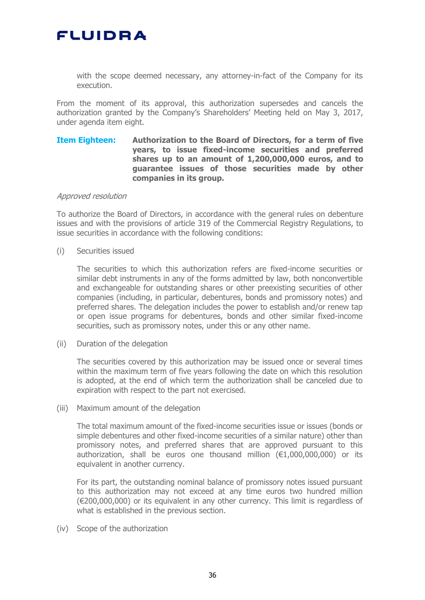with the scope deemed necessary, any attorney-in-fact of the Company for its execution.

From the moment of its approval, this authorization supersedes and cancels the authorization granted by the Company's Shareholders' Meeting held on May 3, 2017, under agenda item eight.

## **Item Eighteen: Authorization to the Board of Directors, for a term of five years, to issue fixed-income securities and preferred shares up to an amount of 1,200,000,000 euros, and to guarantee issues of those securities made by other companies in its group.**

#### Approved resolution

To authorize the Board of Directors, in accordance with the general rules on debenture issues and with the provisions of article 319 of the Commercial Registry Regulations, to issue securities in accordance with the following conditions:

(i) Securities issued

The securities to which this authorization refers are fixed-income securities or similar debt instruments in any of the forms admitted by law, both nonconvertible and exchangeable for outstanding shares or other preexisting securities of other companies (including, in particular, debentures, bonds and promissory notes) and preferred shares. The delegation includes the power to establish and/or renew tap or open issue programs for debentures, bonds and other similar fixed-income securities, such as promissory notes, under this or any other name.

(ii) Duration of the delegation

The securities covered by this authorization may be issued once or several times within the maximum term of five years following the date on which this resolution is adopted, at the end of which term the authorization shall be canceled due to expiration with respect to the part not exercised.

(iii) Maximum amount of the delegation

The total maximum amount of the fixed-income securities issue or issues (bonds or simple debentures and other fixed-income securities of a similar nature) other than promissory notes, and preferred shares that are approved pursuant to this authorization, shall be euros one thousand million  $(\epsilon 1,000,000,000)$  or its equivalent in another currency.

For its part, the outstanding nominal balance of promissory notes issued pursuant to this authorization may not exceed at any time euros two hundred million (€200,000,000) or its equivalent in any other currency. This limit is regardless of what is established in the previous section.

(iv) Scope of the authorization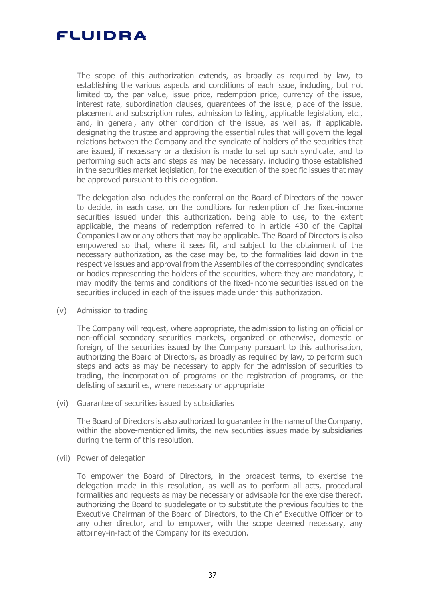

The scope of this authorization extends, as broadly as required by law, to establishing the various aspects and conditions of each issue, including, but not limited to, the par value, issue price, redemption price, currency of the issue, interest rate, subordination clauses, guarantees of the issue, place of the issue, placement and subscription rules, admission to listing, applicable legislation, etc., and, in general, any other condition of the issue, as well as, if applicable, designating the trustee and approving the essential rules that will govern the legal relations between the Company and the syndicate of holders of the securities that are issued, if necessary or a decision is made to set up such syndicate, and to performing such acts and steps as may be necessary, including those established in the securities market legislation, for the execution of the specific issues that may be approved pursuant to this delegation.

The delegation also includes the conferral on the Board of Directors of the power to decide, in each case, on the conditions for redemption of the fixed-income securities issued under this authorization, being able to use, to the extent applicable, the means of redemption referred to in article 430 of the Capital Companies Law or any others that may be applicable. The Board of Directors is also empowered so that, where it sees fit, and subject to the obtainment of the necessary authorization, as the case may be, to the formalities laid down in the respective issues and approval from the Assemblies of the corresponding syndicates or bodies representing the holders of the securities, where they are mandatory, it may modify the terms and conditions of the fixed-income securities issued on the securities included in each of the issues made under this authorization.

(v) Admission to trading

The Company will request, where appropriate, the admission to listing on official or non-official secondary securities markets, organized or otherwise, domestic or foreign, of the securities issued by the Company pursuant to this authorisation, authorizing the Board of Directors, as broadly as required by law, to perform such steps and acts as may be necessary to apply for the admission of securities to trading, the incorporation of programs or the registration of programs, or the delisting of securities, where necessary or appropriate

(vi) Guarantee of securities issued by subsidiaries

The Board of Directors is also authorized to guarantee in the name of the Company, within the above-mentioned limits, the new securities issues made by subsidiaries during the term of this resolution.

(vii) Power of delegation

To empower the Board of Directors, in the broadest terms, to exercise the delegation made in this resolution, as well as to perform all acts, procedural formalities and requests as may be necessary or advisable for the exercise thereof, authorizing the Board to subdelegate or to substitute the previous faculties to the Executive Chairman of the Board of Directors, to the Chief Executive Officer or to any other director, and to empower, with the scope deemed necessary, any attorney-in-fact of the Company for its execution.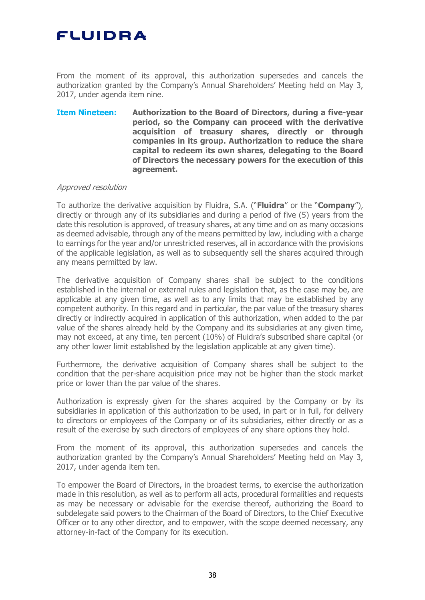From the moment of its approval, this authorization supersedes and cancels the authorization granted by the Company's Annual Shareholders' Meeting held on May 3, 2017, under agenda item nine.

**Item Nineteen: Authorization to the Board of Directors, during a five-year period, so the Company can proceed with the derivative acquisition of treasury shares, directly or through companies in its group. Authorization to reduce the share capital to redeem its own shares, delegating to the Board of Directors the necessary powers for the execution of this agreement.**

#### Approved resolution

To authorize the derivative acquisition by Fluidra, S.A. ("**Fluidra**" or the "**Company**"), directly or through any of its subsidiaries and during a period of five (5) years from the date this resolution is approved, of treasury shares, at any time and on as many occasions as deemed advisable, through any of the means permitted by law, including with a charge to earnings for the year and/or unrestricted reserves, all in accordance with the provisions of the applicable legislation, as well as to subsequently sell the shares acquired through any means permitted by law.

The derivative acquisition of Company shares shall be subject to the conditions established in the internal or external rules and legislation that, as the case may be, are applicable at any given time, as well as to any limits that may be established by any competent authority. In this regard and in particular, the par value of the treasury shares directly or indirectly acquired in application of this authorization, when added to the par value of the shares already held by the Company and its subsidiaries at any given time, may not exceed, at any time, ten percent (10%) of Fluidra's subscribed share capital (or any other lower limit established by the legislation applicable at any given time).

Furthermore, the derivative acquisition of Company shares shall be subject to the condition that the per-share acquisition price may not be higher than the stock market price or lower than the par value of the shares.

Authorization is expressly given for the shares acquired by the Company or by its subsidiaries in application of this authorization to be used, in part or in full, for delivery to directors or employees of the Company or of its subsidiaries, either directly or as a result of the exercise by such directors of employees of any share options they hold.

From the moment of its approval, this authorization supersedes and cancels the authorization granted by the Company's Annual Shareholders' Meeting held on May 3, 2017, under agenda item ten.

To empower the Board of Directors, in the broadest terms, to exercise the authorization made in this resolution, as well as to perform all acts, procedural formalities and requests as may be necessary or advisable for the exercise thereof, authorizing the Board to subdelegate said powers to the Chairman of the Board of Directors, to the Chief Executive Officer or to any other director, and to empower, with the scope deemed necessary, any attorney-in-fact of the Company for its execution.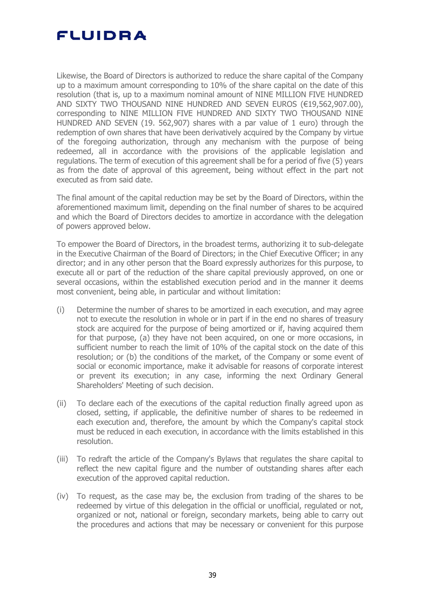Likewise, the Board of Directors is authorized to reduce the share capital of the Company up to a maximum amount corresponding to 10% of the share capital on the date of this resolution (that is, up to a maximum nominal amount of NINE MILLION FIVE HUNDRED AND SIXTY TWO THOUSAND NINE HUNDRED AND SEVEN EUROS (€19,562,907.00), corresponding to NINE MILLION FIVE HUNDRED AND SIXTY TWO THOUSAND NINE HUNDRED AND SEVEN (19. 562,907) shares with a par value of 1 euro) through the redemption of own shares that have been derivatively acquired by the Company by virtue of the foregoing authorization, through any mechanism with the purpose of being redeemed, all in accordance with the provisions of the applicable legislation and regulations. The term of execution of this agreement shall be for a period of five (5) years as from the date of approval of this agreement, being without effect in the part not executed as from said date.

The final amount of the capital reduction may be set by the Board of Directors, within the aforementioned maximum limit, depending on the final number of shares to be acquired and which the Board of Directors decides to amortize in accordance with the delegation of powers approved below.

To empower the Board of Directors, in the broadest terms, authorizing it to sub-delegate in the Executive Chairman of the Board of Directors; in the Chief Executive Officer; in any director; and in any other person that the Board expressly authorizes for this purpose, to execute all or part of the reduction of the share capital previously approved, on one or several occasions, within the established execution period and in the manner it deems most convenient, being able, in particular and without limitation:

- (i) Determine the number of shares to be amortized in each execution, and may agree not to execute the resolution in whole or in part if in the end no shares of treasury stock are acquired for the purpose of being amortized or if, having acquired them for that purpose, (a) they have not been acquired, on one or more occasions, in sufficient number to reach the limit of 10% of the capital stock on the date of this resolution; or (b) the conditions of the market, of the Company or some event of social or economic importance, make it advisable for reasons of corporate interest or prevent its execution; in any case, informing the next Ordinary General Shareholders' Meeting of such decision.
- (ii) To declare each of the executions of the capital reduction finally agreed upon as closed, setting, if applicable, the definitive number of shares to be redeemed in each execution and, therefore, the amount by which the Company's capital stock must be reduced in each execution, in accordance with the limits established in this resolution.
- (iii) To redraft the article of the Company's Bylaws that regulates the share capital to reflect the new capital figure and the number of outstanding shares after each execution of the approved capital reduction.
- (iv) To request, as the case may be, the exclusion from trading of the shares to be redeemed by virtue of this delegation in the official or unofficial, regulated or not, organized or not, national or foreign, secondary markets, being able to carry out the procedures and actions that may be necessary or convenient for this purpose